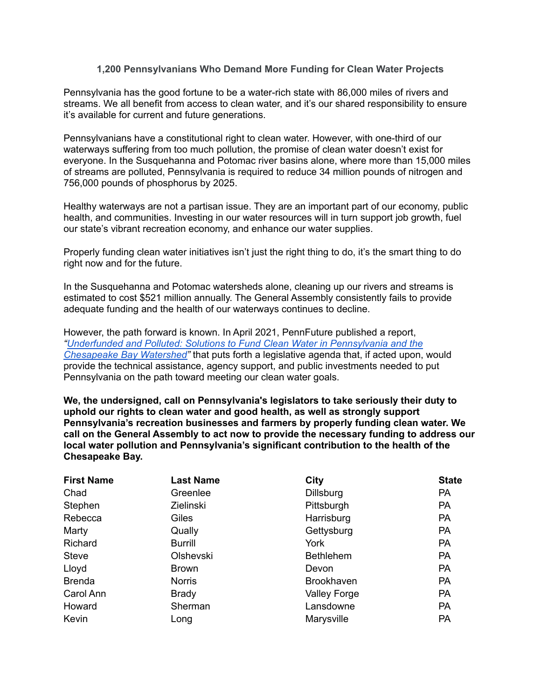## **1,200 Pennsylvanians Who Demand More Funding for Clean Water Projects**

Pennsylvania has the good fortune to be a water-rich state with 86,000 miles of rivers and streams. We all benefit from access to clean water, and it's our shared responsibility to ensure it's available for current and future generations.

Pennsylvanians have a constitutional right to clean water. However, with one-third of our waterways suffering from too much pollution, the promise of clean water doesn't exist for everyone. In the Susquehanna and Potomac river basins alone, where more than 15,000 miles of streams are polluted, Pennsylvania is required to reduce 34 million pounds of nitrogen and 756,000 pounds of phosphorus by 2025.

Healthy waterways are not a partisan issue. They are an important part of our economy, public health, and communities. Investing in our water resources will in turn support job growth, fuel our state's vibrant recreation economy, and enhance our water supplies.

Properly funding clean water initiatives isn't just the right thing to do, it's the smart thing to do right now and for the future.

In the Susquehanna and Potomac watersheds alone, cleaning up our rivers and streams is estimated to cost \$521 million annually. The General Assembly consistently fails to provide adequate funding and the health of our waterways continues to decline.

However, the path forward is known. In April 2021, PennFuture published a report, *"Underfunded and Polluted: Solutions to Fund Clean Water in [Pennsylvania](https://www.pennfuture.org/Files/Admin/Final-Chesapeake-report.pdf) and the [Chesapeake](https://www.pennfuture.org/Files/Admin/Final-Chesapeake-report.pdf) Bay Watershed"* that puts forth a legislative agenda that, if acted upon, would provide the technical assistance, agency support, and public investments needed to put Pennsylvania on the path toward meeting our clean water goals.

**We, the undersigned, call on Pennsylvania's legislators to take seriously their duty to uphold our rights to clean water and good health, as well as strongly support Pennsylvania's recreation businesses and farmers by properly funding clean water. We call on the General Assembly to act now to provide the necessary funding to address our local water pollution and Pennsylvania's significant contribution to the health of the Chesapeake Bay.**

| <b>First Name</b> | <b>Last Name</b> | <b>City</b>         | <b>State</b> |
|-------------------|------------------|---------------------|--------------|
| Chad              | Greenlee         | <b>Dillsburg</b>    | PA           |
| Stephen           | Zielinski        | Pittsburgh          | <b>PA</b>    |
| Rebecca           | Giles            | Harrisburg          | <b>PA</b>    |
| Marty             | Qually           | Gettysburg          | <b>PA</b>    |
| Richard           | <b>Burrill</b>   | York                | <b>PA</b>    |
| <b>Steve</b>      | Olshevski        | <b>Bethlehem</b>    | <b>PA</b>    |
| Lloyd             | Brown            | Devon               | <b>PA</b>    |
| <b>Brenda</b>     | <b>Norris</b>    | <b>Brookhaven</b>   | <b>PA</b>    |
| Carol Ann         | <b>Brady</b>     | <b>Valley Forge</b> | <b>PA</b>    |
| Howard            | Sherman          | Lansdowne           | <b>PA</b>    |
| Kevin             | Long             | Marysville          | <b>PA</b>    |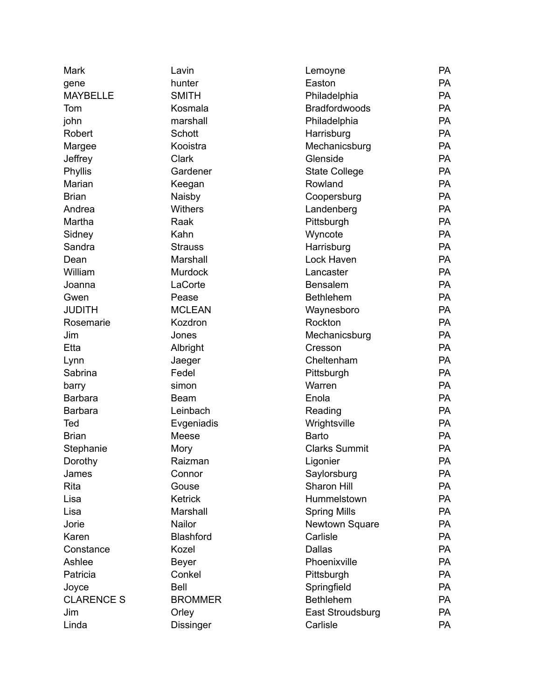| Mark              | Lavin            | Lemoyne              | PA        |
|-------------------|------------------|----------------------|-----------|
| gene              | hunter           | Easton               | <b>PA</b> |
| <b>MAYBELLE</b>   | <b>SMITH</b>     | Philadelphia         | <b>PA</b> |
| Tom               | Kosmala          | <b>Bradfordwoods</b> | <b>PA</b> |
| john              | marshall         | Philadelphia         | PA        |
| Robert            | Schott           | Harrisburg           | <b>PA</b> |
| Margee            | Kooistra         | Mechanicsburg        | <b>PA</b> |
| Jeffrey           | Clark            | Glenside             | PA        |
| Phyllis           | Gardener         | <b>State College</b> | <b>PA</b> |
| Marian            | Keegan           | Rowland              | PA        |
| <b>Brian</b>      | Naisby           | Coopersburg          | <b>PA</b> |
| Andrea            | <b>Withers</b>   | Landenberg           | <b>PA</b> |
| Martha            | Raak             | Pittsburgh           | <b>PA</b> |
| Sidney            | Kahn             | Wyncote              | PA        |
| Sandra            | <b>Strauss</b>   | Harrisburg           | <b>PA</b> |
| Dean              | Marshall         | Lock Haven           | PA        |
| William           | <b>Murdock</b>   | Lancaster            | <b>PA</b> |
| Joanna            | LaCorte          | <b>Bensalem</b>      | PA        |
| Gwen              | Pease            | <b>Bethlehem</b>     | PA        |
| <b>JUDITH</b>     | <b>MCLEAN</b>    | Waynesboro           | <b>PA</b> |
| Rosemarie         | Kozdron          | Rockton              | PA        |
| Jim               | Jones            | Mechanicsburg        | <b>PA</b> |
| Etta              | Albright         | Cresson              | <b>PA</b> |
| Lynn              | Jaeger           | Cheltenham           | PA        |
| Sabrina           | Fedel            | Pittsburgh           | <b>PA</b> |
| barry             | simon            | Warren               | <b>PA</b> |
| <b>Barbara</b>    | <b>Beam</b>      | Enola                | <b>PA</b> |
| <b>Barbara</b>    | Leinbach         | Reading              | <b>PA</b> |
| Ted               | Evgeniadis       | Wrightsville         | PA        |
| <b>Brian</b>      | Meese            | <b>Barto</b>         | PA        |
| Stephanie         | Mory             | <b>Clarks Summit</b> | PA        |
| Dorothy           | Raizman          | Ligonier             | PA        |
| James             | Connor           | Saylorsburg          | <b>PA</b> |
| Rita              | Gouse            | <b>Sharon Hill</b>   | <b>PA</b> |
| Lisa              | <b>Ketrick</b>   | Hummelstown          | <b>PA</b> |
| Lisa              | Marshall         | <b>Spring Mills</b>  | <b>PA</b> |
| Jorie             | Nailor           | Newtown Square       | <b>PA</b> |
| Karen             | <b>Blashford</b> | Carlisle             | <b>PA</b> |
| Constance         | Kozel            | Dallas               | <b>PA</b> |
| Ashlee            | <b>Beyer</b>     | Phoenixville         | <b>PA</b> |
| Patricia          | Conkel           | Pittsburgh           | <b>PA</b> |
| Joyce             | Bell             | Springfield          | <b>PA</b> |
| <b>CLARENCE S</b> | <b>BROMMER</b>   | <b>Bethlehem</b>     | <b>PA</b> |
| Jim               | Orley            | East Stroudsburg     | <b>PA</b> |
| Linda             | <b>Dissinger</b> | Carlisle             | PA        |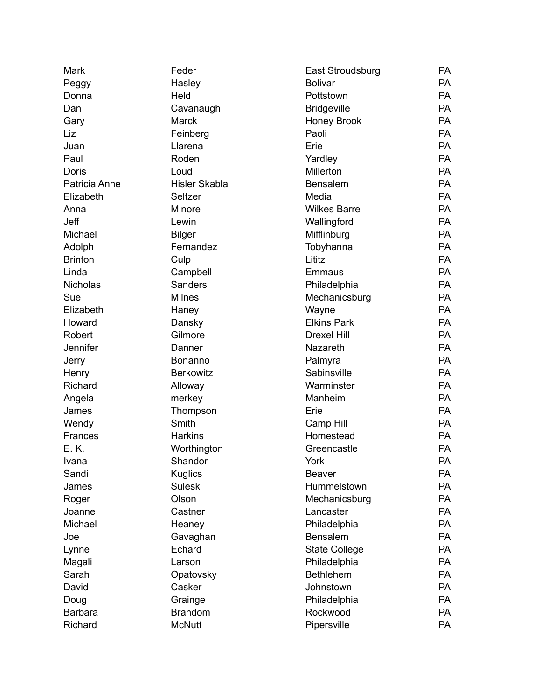| Hasley<br><b>Bolivar</b><br><b>PA</b><br>Peggy<br>Held<br>Pottstown<br><b>PA</b><br>Donna<br>Cavanaugh<br><b>Bridgeville</b><br><b>PA</b><br>Dan<br>Marck<br>Honey Brook<br><b>PA</b><br>Gary<br>Paoli<br>PA<br>Liz<br>Feinberg<br>Llarena<br>Erie<br><b>PA</b><br>Juan<br>Paul<br>Roden<br>Yardley<br><b>PA</b><br>Millerton<br><b>PA</b><br>Doris<br>Loud<br><b>Hisler Skabla</b><br>Patricia Anne<br><b>Bensalem</b><br>PA<br>Elizabeth<br>Seltzer<br>Media<br><b>PA</b><br>Minore<br><b>Wilkes Barre</b><br><b>PA</b><br>Anna<br>Jeff<br>Lewin<br>Wallingford<br><b>PA</b><br>Mifflinburg<br>Michael<br><b>Bilger</b><br>PA<br>Fernandez<br>Tobyhanna<br><b>PA</b><br>Adolph<br><b>Brinton</b><br>Lititz<br>Culp<br><b>PA</b><br>Campbell<br>PA<br>Linda<br>Emmaus<br><b>Sanders</b><br>Nicholas<br>Philadelphia<br>PA<br>Sue<br><b>Milnes</b><br>PA<br>Mechanicsburg<br>Elizabeth<br>Wayne<br><b>PA</b><br>Haney<br>Dansky<br><b>Elkins Park</b><br><b>PA</b><br>Howard<br>Gilmore<br>Robert<br><b>Drexel Hill</b><br>PA<br>Jennifer<br>Nazareth<br><b>PA</b><br>Danner<br><b>PA</b><br>Bonanno<br>Palmyra<br>Jerry<br>Sabinsville<br><b>Berkowitz</b><br><b>PA</b><br>Henry<br>Richard<br>Warminster<br>PA<br>Alloway<br>merkey<br>Manheim<br>PA<br>Angela<br><b>PA</b><br>James<br>Thompson<br>Erie<br>Smith<br>PA<br>Wendy<br>Camp Hill<br><b>Harkins</b><br>Homestead<br>PA<br>Frances<br>E.K.<br>Worthington<br>Greencastle<br>PA<br>Shandor<br>PA<br>York<br>Ivana<br><b>Kuglics</b><br>Sandi<br><b>PA</b><br><b>Beaver</b><br>Suleski<br>Hummelstown<br><b>PA</b><br>James<br>Olson<br>Mechanicsburg<br><b>PA</b><br>Roger<br>Joanne<br>Castner<br>Lancaster<br><b>PA</b><br>Michael<br>Heaney<br>Philadelphia<br><b>PA</b><br>Gavaghan<br><b>Bensalem</b><br><b>PA</b><br>Joe<br>Echard<br><b>State College</b><br><b>PA</b><br>Lynne<br>Philadelphia<br><b>PA</b><br>Magali<br>Larson<br><b>Bethlehem</b><br>Sarah<br>Opatovsky<br><b>PA</b><br>Johnstown<br>David<br>Casker<br><b>PA</b><br>Philadelphia<br>Grainge<br><b>PA</b><br>Doug<br>Rockwood<br><b>Barbara</b><br><b>Brandom</b><br><b>PA</b><br>Pipersville<br>Richard<br><b>McNutt</b><br><b>PA</b> | Mark | Feder | East Stroudsburg | <b>PA</b> |
|------------------------------------------------------------------------------------------------------------------------------------------------------------------------------------------------------------------------------------------------------------------------------------------------------------------------------------------------------------------------------------------------------------------------------------------------------------------------------------------------------------------------------------------------------------------------------------------------------------------------------------------------------------------------------------------------------------------------------------------------------------------------------------------------------------------------------------------------------------------------------------------------------------------------------------------------------------------------------------------------------------------------------------------------------------------------------------------------------------------------------------------------------------------------------------------------------------------------------------------------------------------------------------------------------------------------------------------------------------------------------------------------------------------------------------------------------------------------------------------------------------------------------------------------------------------------------------------------------------------------------------------------------------------------------------------------------------------------------------------------------------------------------------------------------------------------------------------------------------------------------------------------------------------------------------------------------------------------------------------------------------------------------------------------------------------------------------------------------------------------------------------------------------------------------|------|-------|------------------|-----------|
|                                                                                                                                                                                                                                                                                                                                                                                                                                                                                                                                                                                                                                                                                                                                                                                                                                                                                                                                                                                                                                                                                                                                                                                                                                                                                                                                                                                                                                                                                                                                                                                                                                                                                                                                                                                                                                                                                                                                                                                                                                                                                                                                                                              |      |       |                  |           |
|                                                                                                                                                                                                                                                                                                                                                                                                                                                                                                                                                                                                                                                                                                                                                                                                                                                                                                                                                                                                                                                                                                                                                                                                                                                                                                                                                                                                                                                                                                                                                                                                                                                                                                                                                                                                                                                                                                                                                                                                                                                                                                                                                                              |      |       |                  |           |
|                                                                                                                                                                                                                                                                                                                                                                                                                                                                                                                                                                                                                                                                                                                                                                                                                                                                                                                                                                                                                                                                                                                                                                                                                                                                                                                                                                                                                                                                                                                                                                                                                                                                                                                                                                                                                                                                                                                                                                                                                                                                                                                                                                              |      |       |                  |           |
|                                                                                                                                                                                                                                                                                                                                                                                                                                                                                                                                                                                                                                                                                                                                                                                                                                                                                                                                                                                                                                                                                                                                                                                                                                                                                                                                                                                                                                                                                                                                                                                                                                                                                                                                                                                                                                                                                                                                                                                                                                                                                                                                                                              |      |       |                  |           |
|                                                                                                                                                                                                                                                                                                                                                                                                                                                                                                                                                                                                                                                                                                                                                                                                                                                                                                                                                                                                                                                                                                                                                                                                                                                                                                                                                                                                                                                                                                                                                                                                                                                                                                                                                                                                                                                                                                                                                                                                                                                                                                                                                                              |      |       |                  |           |
|                                                                                                                                                                                                                                                                                                                                                                                                                                                                                                                                                                                                                                                                                                                                                                                                                                                                                                                                                                                                                                                                                                                                                                                                                                                                                                                                                                                                                                                                                                                                                                                                                                                                                                                                                                                                                                                                                                                                                                                                                                                                                                                                                                              |      |       |                  |           |
|                                                                                                                                                                                                                                                                                                                                                                                                                                                                                                                                                                                                                                                                                                                                                                                                                                                                                                                                                                                                                                                                                                                                                                                                                                                                                                                                                                                                                                                                                                                                                                                                                                                                                                                                                                                                                                                                                                                                                                                                                                                                                                                                                                              |      |       |                  |           |
|                                                                                                                                                                                                                                                                                                                                                                                                                                                                                                                                                                                                                                                                                                                                                                                                                                                                                                                                                                                                                                                                                                                                                                                                                                                                                                                                                                                                                                                                                                                                                                                                                                                                                                                                                                                                                                                                                                                                                                                                                                                                                                                                                                              |      |       |                  |           |
|                                                                                                                                                                                                                                                                                                                                                                                                                                                                                                                                                                                                                                                                                                                                                                                                                                                                                                                                                                                                                                                                                                                                                                                                                                                                                                                                                                                                                                                                                                                                                                                                                                                                                                                                                                                                                                                                                                                                                                                                                                                                                                                                                                              |      |       |                  |           |
|                                                                                                                                                                                                                                                                                                                                                                                                                                                                                                                                                                                                                                                                                                                                                                                                                                                                                                                                                                                                                                                                                                                                                                                                                                                                                                                                                                                                                                                                                                                                                                                                                                                                                                                                                                                                                                                                                                                                                                                                                                                                                                                                                                              |      |       |                  |           |
|                                                                                                                                                                                                                                                                                                                                                                                                                                                                                                                                                                                                                                                                                                                                                                                                                                                                                                                                                                                                                                                                                                                                                                                                                                                                                                                                                                                                                                                                                                                                                                                                                                                                                                                                                                                                                                                                                                                                                                                                                                                                                                                                                                              |      |       |                  |           |
|                                                                                                                                                                                                                                                                                                                                                                                                                                                                                                                                                                                                                                                                                                                                                                                                                                                                                                                                                                                                                                                                                                                                                                                                                                                                                                                                                                                                                                                                                                                                                                                                                                                                                                                                                                                                                                                                                                                                                                                                                                                                                                                                                                              |      |       |                  |           |
|                                                                                                                                                                                                                                                                                                                                                                                                                                                                                                                                                                                                                                                                                                                                                                                                                                                                                                                                                                                                                                                                                                                                                                                                                                                                                                                                                                                                                                                                                                                                                                                                                                                                                                                                                                                                                                                                                                                                                                                                                                                                                                                                                                              |      |       |                  |           |
|                                                                                                                                                                                                                                                                                                                                                                                                                                                                                                                                                                                                                                                                                                                                                                                                                                                                                                                                                                                                                                                                                                                                                                                                                                                                                                                                                                                                                                                                                                                                                                                                                                                                                                                                                                                                                                                                                                                                                                                                                                                                                                                                                                              |      |       |                  |           |
|                                                                                                                                                                                                                                                                                                                                                                                                                                                                                                                                                                                                                                                                                                                                                                                                                                                                                                                                                                                                                                                                                                                                                                                                                                                                                                                                                                                                                                                                                                                                                                                                                                                                                                                                                                                                                                                                                                                                                                                                                                                                                                                                                                              |      |       |                  |           |
|                                                                                                                                                                                                                                                                                                                                                                                                                                                                                                                                                                                                                                                                                                                                                                                                                                                                                                                                                                                                                                                                                                                                                                                                                                                                                                                                                                                                                                                                                                                                                                                                                                                                                                                                                                                                                                                                                                                                                                                                                                                                                                                                                                              |      |       |                  |           |
|                                                                                                                                                                                                                                                                                                                                                                                                                                                                                                                                                                                                                                                                                                                                                                                                                                                                                                                                                                                                                                                                                                                                                                                                                                                                                                                                                                                                                                                                                                                                                                                                                                                                                                                                                                                                                                                                                                                                                                                                                                                                                                                                                                              |      |       |                  |           |
|                                                                                                                                                                                                                                                                                                                                                                                                                                                                                                                                                                                                                                                                                                                                                                                                                                                                                                                                                                                                                                                                                                                                                                                                                                                                                                                                                                                                                                                                                                                                                                                                                                                                                                                                                                                                                                                                                                                                                                                                                                                                                                                                                                              |      |       |                  |           |
|                                                                                                                                                                                                                                                                                                                                                                                                                                                                                                                                                                                                                                                                                                                                                                                                                                                                                                                                                                                                                                                                                                                                                                                                                                                                                                                                                                                                                                                                                                                                                                                                                                                                                                                                                                                                                                                                                                                                                                                                                                                                                                                                                                              |      |       |                  |           |
|                                                                                                                                                                                                                                                                                                                                                                                                                                                                                                                                                                                                                                                                                                                                                                                                                                                                                                                                                                                                                                                                                                                                                                                                                                                                                                                                                                                                                                                                                                                                                                                                                                                                                                                                                                                                                                                                                                                                                                                                                                                                                                                                                                              |      |       |                  |           |
|                                                                                                                                                                                                                                                                                                                                                                                                                                                                                                                                                                                                                                                                                                                                                                                                                                                                                                                                                                                                                                                                                                                                                                                                                                                                                                                                                                                                                                                                                                                                                                                                                                                                                                                                                                                                                                                                                                                                                                                                                                                                                                                                                                              |      |       |                  |           |
|                                                                                                                                                                                                                                                                                                                                                                                                                                                                                                                                                                                                                                                                                                                                                                                                                                                                                                                                                                                                                                                                                                                                                                                                                                                                                                                                                                                                                                                                                                                                                                                                                                                                                                                                                                                                                                                                                                                                                                                                                                                                                                                                                                              |      |       |                  |           |
|                                                                                                                                                                                                                                                                                                                                                                                                                                                                                                                                                                                                                                                                                                                                                                                                                                                                                                                                                                                                                                                                                                                                                                                                                                                                                                                                                                                                                                                                                                                                                                                                                                                                                                                                                                                                                                                                                                                                                                                                                                                                                                                                                                              |      |       |                  |           |
|                                                                                                                                                                                                                                                                                                                                                                                                                                                                                                                                                                                                                                                                                                                                                                                                                                                                                                                                                                                                                                                                                                                                                                                                                                                                                                                                                                                                                                                                                                                                                                                                                                                                                                                                                                                                                                                                                                                                                                                                                                                                                                                                                                              |      |       |                  |           |
|                                                                                                                                                                                                                                                                                                                                                                                                                                                                                                                                                                                                                                                                                                                                                                                                                                                                                                                                                                                                                                                                                                                                                                                                                                                                                                                                                                                                                                                                                                                                                                                                                                                                                                                                                                                                                                                                                                                                                                                                                                                                                                                                                                              |      |       |                  |           |
|                                                                                                                                                                                                                                                                                                                                                                                                                                                                                                                                                                                                                                                                                                                                                                                                                                                                                                                                                                                                                                                                                                                                                                                                                                                                                                                                                                                                                                                                                                                                                                                                                                                                                                                                                                                                                                                                                                                                                                                                                                                                                                                                                                              |      |       |                  |           |
|                                                                                                                                                                                                                                                                                                                                                                                                                                                                                                                                                                                                                                                                                                                                                                                                                                                                                                                                                                                                                                                                                                                                                                                                                                                                                                                                                                                                                                                                                                                                                                                                                                                                                                                                                                                                                                                                                                                                                                                                                                                                                                                                                                              |      |       |                  |           |
|                                                                                                                                                                                                                                                                                                                                                                                                                                                                                                                                                                                                                                                                                                                                                                                                                                                                                                                                                                                                                                                                                                                                                                                                                                                                                                                                                                                                                                                                                                                                                                                                                                                                                                                                                                                                                                                                                                                                                                                                                                                                                                                                                                              |      |       |                  |           |
|                                                                                                                                                                                                                                                                                                                                                                                                                                                                                                                                                                                                                                                                                                                                                                                                                                                                                                                                                                                                                                                                                                                                                                                                                                                                                                                                                                                                                                                                                                                                                                                                                                                                                                                                                                                                                                                                                                                                                                                                                                                                                                                                                                              |      |       |                  |           |
|                                                                                                                                                                                                                                                                                                                                                                                                                                                                                                                                                                                                                                                                                                                                                                                                                                                                                                                                                                                                                                                                                                                                                                                                                                                                                                                                                                                                                                                                                                                                                                                                                                                                                                                                                                                                                                                                                                                                                                                                                                                                                                                                                                              |      |       |                  |           |
|                                                                                                                                                                                                                                                                                                                                                                                                                                                                                                                                                                                                                                                                                                                                                                                                                                                                                                                                                                                                                                                                                                                                                                                                                                                                                                                                                                                                                                                                                                                                                                                                                                                                                                                                                                                                                                                                                                                                                                                                                                                                                                                                                                              |      |       |                  |           |
|                                                                                                                                                                                                                                                                                                                                                                                                                                                                                                                                                                                                                                                                                                                                                                                                                                                                                                                                                                                                                                                                                                                                                                                                                                                                                                                                                                                                                                                                                                                                                                                                                                                                                                                                                                                                                                                                                                                                                                                                                                                                                                                                                                              |      |       |                  |           |
|                                                                                                                                                                                                                                                                                                                                                                                                                                                                                                                                                                                                                                                                                                                                                                                                                                                                                                                                                                                                                                                                                                                                                                                                                                                                                                                                                                                                                                                                                                                                                                                                                                                                                                                                                                                                                                                                                                                                                                                                                                                                                                                                                                              |      |       |                  |           |
|                                                                                                                                                                                                                                                                                                                                                                                                                                                                                                                                                                                                                                                                                                                                                                                                                                                                                                                                                                                                                                                                                                                                                                                                                                                                                                                                                                                                                                                                                                                                                                                                                                                                                                                                                                                                                                                                                                                                                                                                                                                                                                                                                                              |      |       |                  |           |
|                                                                                                                                                                                                                                                                                                                                                                                                                                                                                                                                                                                                                                                                                                                                                                                                                                                                                                                                                                                                                                                                                                                                                                                                                                                                                                                                                                                                                                                                                                                                                                                                                                                                                                                                                                                                                                                                                                                                                                                                                                                                                                                                                                              |      |       |                  |           |
|                                                                                                                                                                                                                                                                                                                                                                                                                                                                                                                                                                                                                                                                                                                                                                                                                                                                                                                                                                                                                                                                                                                                                                                                                                                                                                                                                                                                                                                                                                                                                                                                                                                                                                                                                                                                                                                                                                                                                                                                                                                                                                                                                                              |      |       |                  |           |
|                                                                                                                                                                                                                                                                                                                                                                                                                                                                                                                                                                                                                                                                                                                                                                                                                                                                                                                                                                                                                                                                                                                                                                                                                                                                                                                                                                                                                                                                                                                                                                                                                                                                                                                                                                                                                                                                                                                                                                                                                                                                                                                                                                              |      |       |                  |           |
|                                                                                                                                                                                                                                                                                                                                                                                                                                                                                                                                                                                                                                                                                                                                                                                                                                                                                                                                                                                                                                                                                                                                                                                                                                                                                                                                                                                                                                                                                                                                                                                                                                                                                                                                                                                                                                                                                                                                                                                                                                                                                                                                                                              |      |       |                  |           |
|                                                                                                                                                                                                                                                                                                                                                                                                                                                                                                                                                                                                                                                                                                                                                                                                                                                                                                                                                                                                                                                                                                                                                                                                                                                                                                                                                                                                                                                                                                                                                                                                                                                                                                                                                                                                                                                                                                                                                                                                                                                                                                                                                                              |      |       |                  |           |
|                                                                                                                                                                                                                                                                                                                                                                                                                                                                                                                                                                                                                                                                                                                                                                                                                                                                                                                                                                                                                                                                                                                                                                                                                                                                                                                                                                                                                                                                                                                                                                                                                                                                                                                                                                                                                                                                                                                                                                                                                                                                                                                                                                              |      |       |                  |           |
|                                                                                                                                                                                                                                                                                                                                                                                                                                                                                                                                                                                                                                                                                                                                                                                                                                                                                                                                                                                                                                                                                                                                                                                                                                                                                                                                                                                                                                                                                                                                                                                                                                                                                                                                                                                                                                                                                                                                                                                                                                                                                                                                                                              |      |       |                  |           |
|                                                                                                                                                                                                                                                                                                                                                                                                                                                                                                                                                                                                                                                                                                                                                                                                                                                                                                                                                                                                                                                                                                                                                                                                                                                                                                                                                                                                                                                                                                                                                                                                                                                                                                                                                                                                                                                                                                                                                                                                                                                                                                                                                                              |      |       |                  |           |
|                                                                                                                                                                                                                                                                                                                                                                                                                                                                                                                                                                                                                                                                                                                                                                                                                                                                                                                                                                                                                                                                                                                                                                                                                                                                                                                                                                                                                                                                                                                                                                                                                                                                                                                                                                                                                                                                                                                                                                                                                                                                                                                                                                              |      |       |                  |           |
|                                                                                                                                                                                                                                                                                                                                                                                                                                                                                                                                                                                                                                                                                                                                                                                                                                                                                                                                                                                                                                                                                                                                                                                                                                                                                                                                                                                                                                                                                                                                                                                                                                                                                                                                                                                                                                                                                                                                                                                                                                                                                                                                                                              |      |       |                  |           |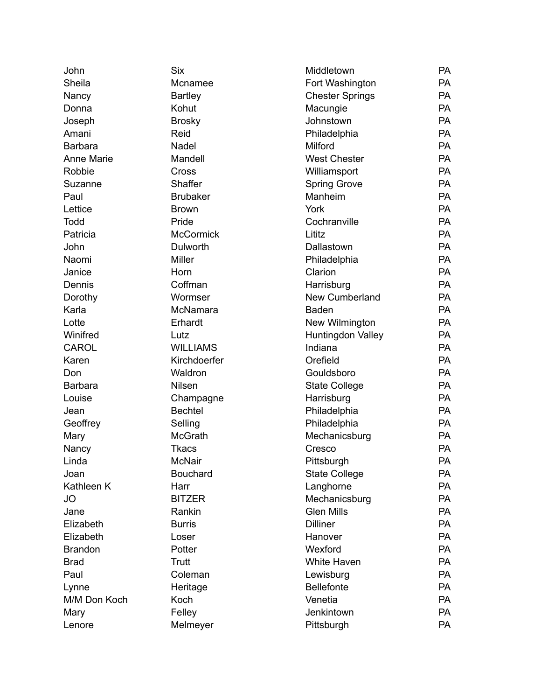| John              | <b>Six</b>       | Middletown             | <b>PA</b> |
|-------------------|------------------|------------------------|-----------|
| Sheila            | Mcnamee          | Fort Washington        | <b>PA</b> |
| Nancy             | <b>Bartley</b>   | <b>Chester Springs</b> | <b>PA</b> |
| Donna             | Kohut            | Macungie               | <b>PA</b> |
| Joseph            | <b>Brosky</b>    | Johnstown              | <b>PA</b> |
| Amani             | Reid             | Philadelphia           | <b>PA</b> |
| <b>Barbara</b>    | Nadel            | Milford                | <b>PA</b> |
| <b>Anne Marie</b> | Mandell          | <b>West Chester</b>    | <b>PA</b> |
| Robbie            | Cross            | Williamsport           | <b>PA</b> |
| Suzanne           | Shaffer          | <b>Spring Grove</b>    | <b>PA</b> |
| Paul              | <b>Brubaker</b>  | Manheim                | <b>PA</b> |
| Lettice           | <b>Brown</b>     | York                   | <b>PA</b> |
| Todd              | Pride            | Cochranville           | <b>PA</b> |
| Patricia          | <b>McCormick</b> | Lititz                 | <b>PA</b> |
| John              | Dulworth         | Dallastown             | <b>PA</b> |
| Naomi             | <b>Miller</b>    | Philadelphia           | <b>PA</b> |
| Janice            | Horn             | Clarion                | <b>PA</b> |
| Dennis            | Coffman          | Harrisburg             | <b>PA</b> |
| Dorothy           | Wormser          | <b>New Cumberland</b>  | <b>PA</b> |
| Karla             | McNamara         | <b>Baden</b>           | <b>PA</b> |
| Lotte             | Erhardt          | New Wilmington         | <b>PA</b> |
| Winifred          | Lutz             | Huntingdon Valley      | <b>PA</b> |
| <b>CAROL</b>      | <b>WILLIAMS</b>  | Indiana                | <b>PA</b> |
| Karen             | Kirchdoerfer     | Orefield               | <b>PA</b> |
| Don               | Waldron          | Gouldsboro             | <b>PA</b> |
| <b>Barbara</b>    | Nilsen           | <b>State College</b>   | <b>PA</b> |
| Louise            | Champagne        | Harrisburg             | <b>PA</b> |
| Jean              | <b>Bechtel</b>   | Philadelphia           | <b>PA</b> |
| Geoffrey          | Selling          | Philadelphia           | <b>PA</b> |
| Mary              | <b>McGrath</b>   | Mechanicsburg          | <b>PA</b> |
| Nancy             | <b>Tkacs</b>     | Cresco                 | PA        |
| Linda             | McNair           | Pittsburgh             | PA        |
| Joan              | <b>Bouchard</b>  | <b>State College</b>   | <b>PA</b> |
| Kathleen K        | Harr             | Langhorne              | <b>PA</b> |
| <b>JO</b>         | <b>BITZER</b>    | Mechanicsburg          | <b>PA</b> |
| Jane              | Rankin           | <b>Glen Mills</b>      | <b>PA</b> |
| Elizabeth         | <b>Burris</b>    | <b>Dilliner</b>        | <b>PA</b> |
| Elizabeth         | Loser            | Hanover                | <b>PA</b> |
| <b>Brandon</b>    | Potter           | Wexford                | <b>PA</b> |
| <b>Brad</b>       | <b>Trutt</b>     | White Haven            | PA        |
| Paul              | Coleman          | Lewisburg              | <b>PA</b> |
| Lynne             | Heritage         | <b>Bellefonte</b>      | <b>PA</b> |
| M/M Don Koch      | Koch             | Venetia                | <b>PA</b> |
| Mary              | Felley           | Jenkintown             | <b>PA</b> |
| Lenore            | Melmeyer         | Pittsburgh             | PA        |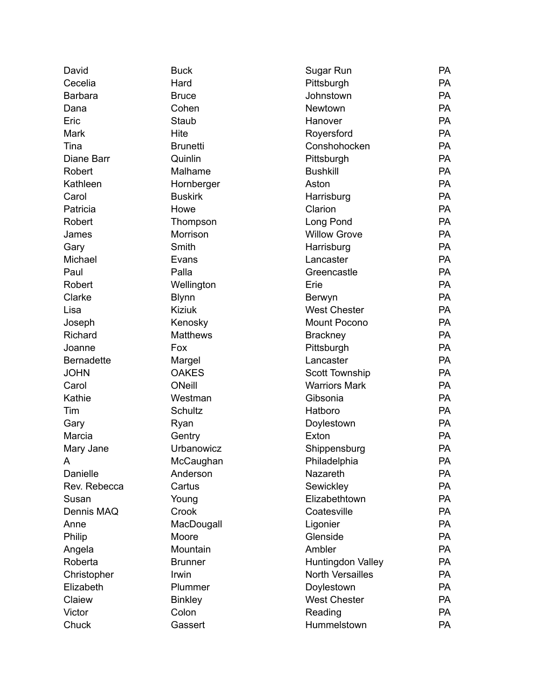| David             | <b>Buck</b>     | Sugar Run               | <b>PA</b> |
|-------------------|-----------------|-------------------------|-----------|
| Cecelia           | Hard            | Pittsburgh              | <b>PA</b> |
| <b>Barbara</b>    | <b>Bruce</b>    | Johnstown               | PA        |
| Dana              | Cohen           | Newtown                 | <b>PA</b> |
| Eric              | Staub           | Hanover                 | PA        |
| Mark              | Hite            | Royersford              | <b>PA</b> |
| Tina              | <b>Brunetti</b> | Conshohocken            | <b>PA</b> |
| Diane Barr        | Quinlin         | Pittsburgh              | <b>PA</b> |
| Robert            | Malhame         | <b>Bushkill</b>         | <b>PA</b> |
| Kathleen          | Hornberger      | Aston                   | <b>PA</b> |
| Carol             | <b>Buskirk</b>  | Harrisburg              | PA        |
| Patricia          | Howe            | Clarion                 | <b>PA</b> |
| Robert            | Thompson        | Long Pond               | <b>PA</b> |
| James             | Morrison        | <b>Willow Grove</b>     | <b>PA</b> |
| Gary              | Smith           | Harrisburg              | <b>PA</b> |
| Michael           | Evans           | Lancaster               | <b>PA</b> |
| Paul              | Palla           | Greencastle             | <b>PA</b> |
| Robert            | Wellington      | Erie                    | <b>PA</b> |
| Clarke            | <b>Blynn</b>    | Berwyn                  | PA        |
| Lisa              | <b>Kiziuk</b>   | <b>West Chester</b>     | <b>PA</b> |
| Joseph            | Kenosky         | Mount Pocono            | <b>PA</b> |
| Richard           | <b>Matthews</b> | <b>Brackney</b>         | <b>PA</b> |
| Joanne            | Fox             | Pittsburgh              | <b>PA</b> |
| <b>Bernadette</b> | Margel          | Lancaster               | <b>PA</b> |
| <b>JOHN</b>       | <b>OAKES</b>    | Scott Township          | <b>PA</b> |
| Carol             | ONeill          | <b>Warriors Mark</b>    | <b>PA</b> |
| Kathie            | Westman         | Gibsonia                | <b>PA</b> |
| Tim               | Schultz         | Hatboro                 | <b>PA</b> |
| Gary              | Ryan            | Doylestown              | <b>PA</b> |
| Marcia            | Gentry          | Exton                   | <b>PA</b> |
| Mary Jane         | Urbanowicz      | Shippensburg            | PA        |
| A                 | McCaughan       | Philadelphia            | PA        |
| Danielle          | Anderson        | Nazareth                | <b>PA</b> |
| Rev. Rebecca      | Cartus          | Sewickley               | <b>PA</b> |
| Susan             | Young           | Elizabethtown           | <b>PA</b> |
| Dennis MAQ        | Crook           | Coatesville             | <b>PA</b> |
| Anne              | MacDougall      | Ligonier                | <b>PA</b> |
| Philip            | Moore           | Glenside                | <b>PA</b> |
| Angela            | Mountain        | Ambler                  | <b>PA</b> |
| Roberta           | <b>Brunner</b>  | Huntingdon Valley       | <b>PA</b> |
| Christopher       | Irwin           | <b>North Versailles</b> | <b>PA</b> |
| Elizabeth         | Plummer         | Doylestown              | <b>PA</b> |
| Claiew            | <b>Binkley</b>  | <b>West Chester</b>     | <b>PA</b> |
| Victor            | Colon           | Reading                 | <b>PA</b> |
| Chuck             | Gassert         | Hummelstown             | PA        |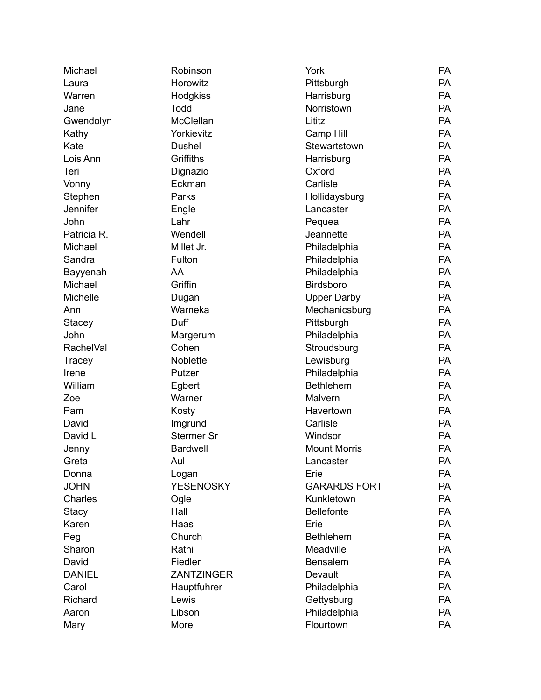| Michael          | Robinson          | York                | <b>PA</b> |
|------------------|-------------------|---------------------|-----------|
| Laura            | Horowitz          | Pittsburgh          | <b>PA</b> |
| Warren           | Hodgkiss          | Harrisburg          | <b>PA</b> |
| Jane             | <b>Todd</b>       | Norristown          | <b>PA</b> |
| Gwendolyn        | McClellan         | Lititz              | PA        |
| Kathy            | Yorkievitz        | Camp Hill           | <b>PA</b> |
| Kate             | <b>Dushel</b>     | Stewartstown        | <b>PA</b> |
| Lois Ann         | Griffiths         | Harrisburg          | <b>PA</b> |
| Teri             | Dignazio          | Oxford              | <b>PA</b> |
| Vonny            | Eckman            | Carlisle            | PA        |
| Stephen          | Parks             | Hollidaysburg       | <b>PA</b> |
| Jennifer         | Engle             | Lancaster           | <b>PA</b> |
| John             | Lahr              | Pequea              | PA        |
| Patricia R.      | Wendell           | Jeannette           | <b>PA</b> |
| Michael          | Millet Jr.        | Philadelphia        | <b>PA</b> |
| Sandra           | Fulton            | Philadelphia        | <b>PA</b> |
| Bayyenah         | AA                | Philadelphia        | <b>PA</b> |
| Michael          | Griffin           | Birdsboro           | <b>PA</b> |
| Michelle         | Dugan             | <b>Upper Darby</b>  | <b>PA</b> |
| Ann              | Warneka           | Mechanicsburg       | <b>PA</b> |
| <b>Stacey</b>    | Duff              | Pittsburgh          | PA        |
| John             | Margerum          | Philadelphia        | <b>PA</b> |
| <b>RachelVal</b> | Cohen             | Stroudsburg         | <b>PA</b> |
| Tracey           | Noblette          | Lewisburg           | PA        |
| Irene            | Putzer            | Philadelphia        | <b>PA</b> |
| William          | Egbert            | <b>Bethlehem</b>    | <b>PA</b> |
| Zoe              | Warner            | Malvern             | <b>PA</b> |
| Pam              | Kosty             | Havertown           | <b>PA</b> |
| David            | Imgrund           | Carlisle            | <b>PA</b> |
| David L          | <b>Stermer Sr</b> | Windsor             | <b>PA</b> |
| Jenny            | <b>Bardwell</b>   | <b>Mount Morris</b> | PA        |
| Greta            | Aul               | Lancaster           | PA        |
| Donna            | Logan             | Erie                | <b>PA</b> |
| <b>JOHN</b>      | <b>YESENOSKY</b>  | <b>GARARDS FORT</b> | PA        |
| Charles          | Ogle              | Kunkletown          | <b>PA</b> |
| <b>Stacy</b>     | Hall              | <b>Bellefonte</b>   | <b>PA</b> |
| Karen            | Haas              | Erie                | PA        |
| Peg              | Church            | <b>Bethlehem</b>    | <b>PA</b> |
| Sharon           | Rathi             | Meadville           | <b>PA</b> |
| David            | Fiedler           | Bensalem            | PA        |
| <b>DANIEL</b>    | <b>ZANTZINGER</b> | Devault             | <b>PA</b> |
| Carol            | Hauptfuhrer       | Philadelphia        | <b>PA</b> |
| Richard          | Lewis             | Gettysburg          | <b>PA</b> |
| Aaron            | Libson            | Philadelphia        | <b>PA</b> |
| Mary             | More              | Flourtown           | PA        |
|                  |                   |                     |           |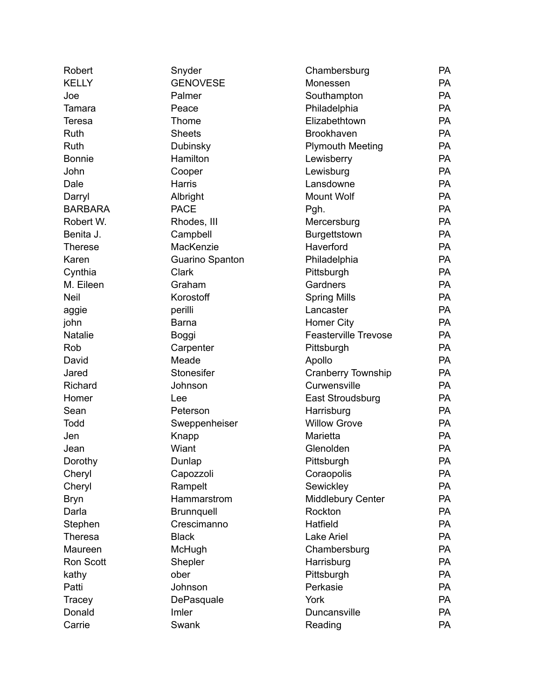| Robert         | Snyder            | Chambersburg                | <b>PA</b> |
|----------------|-------------------|-----------------------------|-----------|
| <b>KELLY</b>   | <b>GENOVESE</b>   | Monessen                    | <b>PA</b> |
| Joe            | Palmer            | Southampton                 | <b>PA</b> |
| Tamara         | Peace             | Philadelphia                | <b>PA</b> |
| <b>Teresa</b>  | Thome             | Elizabethtown               | <b>PA</b> |
| Ruth           | <b>Sheets</b>     | <b>Brookhaven</b>           | <b>PA</b> |
| Ruth           | Dubinsky          | <b>Plymouth Meeting</b>     | <b>PA</b> |
| <b>Bonnie</b>  | Hamilton          | Lewisberry                  | <b>PA</b> |
| John           | Cooper            | Lewisburg                   | <b>PA</b> |
| Dale           | <b>Harris</b>     | Lansdowne                   | <b>PA</b> |
| Darryl         | Albright          | Mount Wolf                  | PA        |
| <b>BARBARA</b> | <b>PACE</b>       | Pgh.                        | <b>PA</b> |
| Robert W.      | Rhodes, III       | Mercersburg                 | <b>PA</b> |
| Benita J.      | Campbell          | Burgettstown                | <b>PA</b> |
| <b>Therese</b> | MacKenzie         | Haverford                   | <b>PA</b> |
| Karen          | Guarino Spanton   | Philadelphia                | <b>PA</b> |
| Cynthia        | Clark             | Pittsburgh                  | <b>PA</b> |
| M. Eileen      | Graham            | Gardners                    | <b>PA</b> |
| <b>Neil</b>    | Korostoff         | <b>Spring Mills</b>         | <b>PA</b> |
| aggie          | perilli           | Lancaster                   | <b>PA</b> |
| john           | <b>Barna</b>      | <b>Homer City</b>           | <b>PA</b> |
| <b>Natalie</b> | Boggi             | <b>Feasterville Trevose</b> | <b>PA</b> |
| Rob            | Carpenter         | Pittsburgh                  | <b>PA</b> |
| David          | Meade             | Apollo                      | <b>PA</b> |
| Jared          | Stonesifer        | <b>Cranberry Township</b>   | <b>PA</b> |
| Richard        | Johnson           | Curwensville                | <b>PA</b> |
| Homer          | Lee               | East Stroudsburg            | <b>PA</b> |
| Sean           | Peterson          | Harrisburg                  | PA        |
| Todd           | Sweppenheiser     | <b>Willow Grove</b>         | <b>PA</b> |
| Jen            | Knapp             | Marietta                    | <b>PA</b> |
| Jean           | Wiant             | Glenolden                   | <b>PA</b> |
| Dorothy        | Dunlap            | Pittsburgh                  | PA        |
| Cheryl         | Capozzoli         | Coraopolis                  | PA        |
| Cheryl         | Rampelt           | Sewickley                   | PA        |
| <b>Bryn</b>    | Hammarstrom       | Middlebury Center           | <b>PA</b> |
| Darla          | <b>Brunnquell</b> | Rockton                     | <b>PA</b> |
| Stephen        | Crescimanno       | Hatfield                    | <b>PA</b> |
| Theresa        | <b>Black</b>      | <b>Lake Ariel</b>           | <b>PA</b> |
| Maureen        | McHugh            | Chambersburg                | <b>PA</b> |
| Ron Scott      | Shepler           | Harrisburg                  | <b>PA</b> |
| kathy          | ober              | Pittsburgh                  | <b>PA</b> |
| Patti          | Johnson           | Perkasie                    | <b>PA</b> |
| Tracey         | DePasquale        | York                        | <b>PA</b> |
| Donald         | Imler             | Duncansville                | <b>PA</b> |
| Carrie         | Swank             | Reading                     | <b>PA</b> |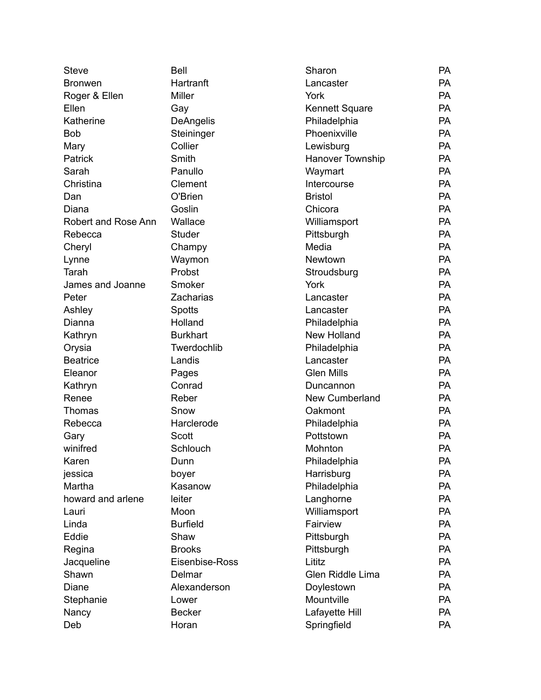| <b>Steve</b>        | <b>Bell</b>      | Sharon                  | <b>PA</b> |
|---------------------|------------------|-------------------------|-----------|
| <b>Bronwen</b>      | Hartranft        | Lancaster               | <b>PA</b> |
| Roger & Ellen       | <b>Miller</b>    | York                    | <b>PA</b> |
| Ellen               | Gay              | <b>Kennett Square</b>   | <b>PA</b> |
| Katherine           | <b>DeAngelis</b> | Philadelphia            | <b>PA</b> |
| <b>Bob</b>          | Steininger       | Phoenixville            | <b>PA</b> |
| Mary                | Collier          | Lewisburg               | <b>PA</b> |
| Patrick             | Smith            | <b>Hanover Township</b> | <b>PA</b> |
| Sarah               | Panullo          | Waymart                 | <b>PA</b> |
| Christina           | Clement          | Intercourse             | <b>PA</b> |
| Dan                 | O'Brien          | <b>Bristol</b>          | <b>PA</b> |
| Diana               | Goslin           | Chicora                 | <b>PA</b> |
| Robert and Rose Ann | Wallace          | Williamsport            | <b>PA</b> |
| Rebecca             | Studer           | Pittsburgh              | <b>PA</b> |
| Cheryl              | Champy           | Media                   | <b>PA</b> |
| Lynne               | Waymon           | Newtown                 | <b>PA</b> |
| Tarah               | Probst           | Stroudsburg             | <b>PA</b> |
| James and Joanne    | Smoker           | York                    | <b>PA</b> |
| Peter               | Zacharias        | Lancaster               | <b>PA</b> |
| Ashley              | Spotts           | Lancaster               | <b>PA</b> |
| Dianna              | Holland          | Philadelphia            | <b>PA</b> |
| Kathryn             | <b>Burkhart</b>  | <b>New Holland</b>      | <b>PA</b> |
| Orysia              | Twerdochlib      | Philadelphia            | <b>PA</b> |
| <b>Beatrice</b>     | Landis           | Lancaster               | <b>PA</b> |
| Eleanor             | Pages            | <b>Glen Mills</b>       | <b>PA</b> |
| Kathryn             | Conrad           | Duncannon               | <b>PA</b> |
| Renee               | Reber            | New Cumberland          | <b>PA</b> |
| Thomas              | Snow             | Oakmont                 | <b>PA</b> |
| Rebecca             | Harclerode       | Philadelphia            | <b>PA</b> |
| Gary                | <b>Scott</b>     | Pottstown               | <b>PA</b> |
| winifred            | Schlouch         | Mohnton                 | PA        |
| Karen               | Dunn             | Philadelphia            | PA        |
| jessica             | boyer            | Harrisburg              | <b>PA</b> |
| Martha              | Kasanow          | Philadelphia            | PA        |
| howard and arlene   | leiter           | Langhorne               | <b>PA</b> |
| Lauri               | Moon             | Williamsport            | <b>PA</b> |
| Linda               | <b>Burfield</b>  | Fairview                | PA        |
| Eddie               | Shaw             | Pittsburgh              | <b>PA</b> |
| Regina              | <b>Brooks</b>    | Pittsburgh              | <b>PA</b> |
| Jacqueline          | Eisenbise-Ross   | Lititz                  | <b>PA</b> |
| Shawn               | Delmar           | Glen Riddle Lima        | <b>PA</b> |
| Diane               | Alexanderson     | Doylestown              | <b>PA</b> |
| Stephanie           | Lower            | Mountville              | <b>PA</b> |
| Nancy               | <b>Becker</b>    | Lafayette Hill          | <b>PA</b> |
| Deb                 | Horan            | Springfield             | PA        |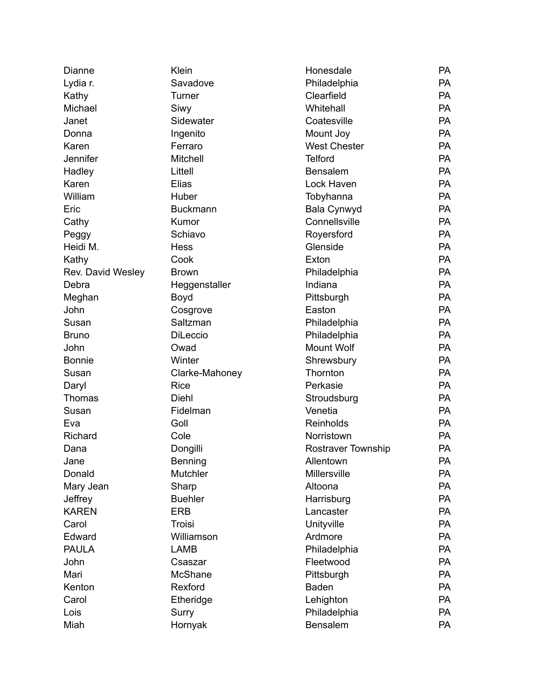| Dianne            | Klein           | Honesdale                 | <b>PA</b> |
|-------------------|-----------------|---------------------------|-----------|
| Lydia r.          | Savadove        | Philadelphia              | <b>PA</b> |
| Kathy             | Turner          | Clearfield                | <b>PA</b> |
| Michael           | Siwy            | Whitehall                 | <b>PA</b> |
| Janet             | Sidewater       | Coatesville               | PA        |
| Donna             | Ingenito        | Mount Joy                 | PA        |
| Karen             | Ferraro         | <b>West Chester</b>       | <b>PA</b> |
| Jennifer          | Mitchell        | <b>Telford</b>            | PA        |
| Hadley            | Littell         | <b>Bensalem</b>           | <b>PA</b> |
| Karen             | Elias           | Lock Haven                | PA        |
| William           | Huber           | Tobyhanna                 | <b>PA</b> |
| Eric              | <b>Buckmann</b> | Bala Cynwyd               | <b>PA</b> |
| Cathy             | Kumor           | Connellsville             | PA        |
| Peggy             | Schiavo         | Royersford                | PA        |
| Heidi M.          | Hess            | Glenside                  | PA        |
| Kathy             | Cook            | Exton                     | PA        |
| Rev. David Wesley | <b>Brown</b>    | Philadelphia              | PA        |
| Debra             | Heggenstaller   | Indiana                   | PA        |
| Meghan            | Boyd            | Pittsburgh                | PA        |
| John              | Cosgrove        | Easton                    | <b>PA</b> |
| Susan             | Saltzman        | Philadelphia              | PA        |
| <b>Bruno</b>      | DiLeccio        | Philadelphia              | PA        |
| John              | Owad            | Mount Wolf                | <b>PA</b> |
| <b>Bonnie</b>     | Winter          | Shrewsbury                | PA        |
| Susan             | Clarke-Mahoney  | Thornton                  | PA        |
| Daryl             | <b>Rice</b>     | Perkasie                  | PA        |
| Thomas            | Diehl           | Stroudsburg               | <b>PA</b> |
| Susan             | Fidelman        | Venetia                   | <b>PA</b> |
| Eva               | Goll            | Reinholds                 | PA        |
| Richard           | Cole            | Norristown                | PA        |
| Dana              | Dongilli        | <b>Rostraver Township</b> | PA        |
| Jane              | Benning         | Allentown                 | PA        |
| Donald            | Mutchler        | Millersville              | PA        |
| Mary Jean         | Sharp           | Altoona                   | <b>PA</b> |
| Jeffrey           | <b>Buehler</b>  | Harrisburg                | <b>PA</b> |
| <b>KAREN</b>      | <b>ERB</b>      | Lancaster                 | <b>PA</b> |
| Carol             | Troisi          | Unityville                | <b>PA</b> |
| Edward            | Williamson      | Ardmore                   | <b>PA</b> |
| <b>PAULA</b>      | <b>LAMB</b>     | Philadelphia              | <b>PA</b> |
| John              | Csaszar         | Fleetwood                 | <b>PA</b> |
| Mari              | McShane         | Pittsburgh                | <b>PA</b> |
| Kenton            | Rexford         | <b>Baden</b>              | <b>PA</b> |
| Carol             | Etheridge       | Lehighton                 | <b>PA</b> |
| Lois              | Surry           | Philadelphia              | <b>PA</b> |
| Miah              | Hornyak         | Bensalem                  | PA        |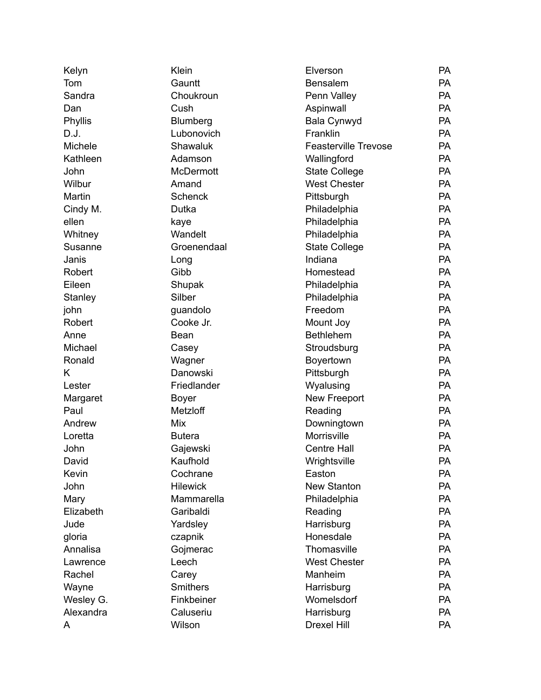| Kelyn     | Klein            | Elverson                    | <b>PA</b> |
|-----------|------------------|-----------------------------|-----------|
| Tom       | Gauntt           | <b>Bensalem</b>             | <b>PA</b> |
| Sandra    | Choukroun        | Penn Valley                 | <b>PA</b> |
| Dan       | Cush             | Aspinwall                   | <b>PA</b> |
| Phyllis   | Blumberg         | Bala Cynwyd                 | PA        |
| D.J.      | Lubonovich       | Franklin                    | <b>PA</b> |
| Michele   | Shawaluk         | <b>Feasterville Trevose</b> | <b>PA</b> |
| Kathleen  | Adamson          | Wallingford                 | <b>PA</b> |
| John      | <b>McDermott</b> | <b>State College</b>        | <b>PA</b> |
| Wilbur    | Amand            | <b>West Chester</b>         | <b>PA</b> |
| Martin    | <b>Schenck</b>   | Pittsburgh                  | <b>PA</b> |
| Cindy M.  | Dutka            | Philadelphia                | PA        |
| ellen     | kaye             | Philadelphia                | PA        |
| Whitney   | Wandelt          | Philadelphia                | <b>PA</b> |
| Susanne   | Groenendaal      | <b>State College</b>        | <b>PA</b> |
| Janis     | Long             | Indiana                     | <b>PA</b> |
| Robert    | Gibb             | Homestead                   | <b>PA</b> |
| Eileen    | Shupak           | Philadelphia                | <b>PA</b> |
| Stanley   | Silber           | Philadelphia                | <b>PA</b> |
| john      | guandolo         | Freedom                     | <b>PA</b> |
| Robert    | Cooke Jr.        | Mount Joy                   | PA        |
| Anne      | Bean             | <b>Bethlehem</b>            | <b>PA</b> |
| Michael   | Casey            | Stroudsburg                 | <b>PA</b> |
| Ronald    | Wagner           | Boyertown                   | <b>PA</b> |
| K         | Danowski         | Pittsburgh                  | PA        |
| Lester    | Friedlander      | Wyalusing                   | <b>PA</b> |
| Margaret  | <b>Boyer</b>     | New Freeport                | PA        |
| Paul      | Metzloff         | Reading                     | PA        |
| Andrew    | Mix              | Downingtown                 | PA        |
| Loretta   | <b>Butera</b>    | Morrisville                 | PA        |
| John      | Gajewski         | <b>Centre Hall</b>          | PA        |
| David     | Kaufhold         | Wrightsville                | PA        |
| Kevin     | Cochrane         | Easton                      | <b>PA</b> |
| John      | <b>Hilewick</b>  | <b>New Stanton</b>          | <b>PA</b> |
| Mary      | Mammarella       | Philadelphia                | <b>PA</b> |
| Elizabeth | Garibaldi        | Reading                     | <b>PA</b> |
| Jude      | Yardsley         | Harrisburg                  | <b>PA</b> |
| gloria    | czapnik          | Honesdale                   | <b>PA</b> |
| Annalisa  | Gojmerac         | Thomasville                 | <b>PA</b> |
| Lawrence  | Leech            | <b>West Chester</b>         | <b>PA</b> |
| Rachel    | Carey            | Manheim                     | <b>PA</b> |
| Wayne     | <b>Smithers</b>  | Harrisburg                  | <b>PA</b> |
| Wesley G. | Finkbeiner       | Womelsdorf                  | <b>PA</b> |
| Alexandra | Caluseriu        | Harrisburg                  | <b>PA</b> |
| A         | Wilson           | <b>Drexel Hill</b>          | PA        |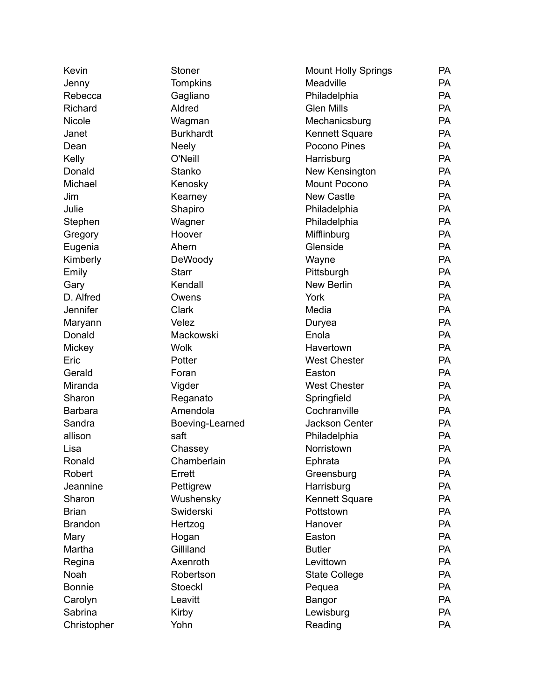| Kevin          | Stoner           | <b>Mount Holly Springs</b> | <b>PA</b> |
|----------------|------------------|----------------------------|-----------|
| Jenny          | <b>Tompkins</b>  | Meadville                  | <b>PA</b> |
| Rebecca        | Gagliano         | Philadelphia               | <b>PA</b> |
| Richard        | Aldred           | <b>Glen Mills</b>          | <b>PA</b> |
| <b>Nicole</b>  | Wagman           | Mechanicsburg              | <b>PA</b> |
| Janet          | <b>Burkhardt</b> | <b>Kennett Square</b>      | <b>PA</b> |
| Dean           | <b>Neely</b>     | Pocono Pines               | <b>PA</b> |
| Kelly          | O'Neill          | Harrisburg                 | <b>PA</b> |
| Donald         | Stanko           | New Kensington             | <b>PA</b> |
| Michael        | Kenosky          | <b>Mount Pocono</b>        | <b>PA</b> |
| Jim            | Kearney          | <b>New Castle</b>          | <b>PA</b> |
| Julie          | Shapiro          | Philadelphia               | <b>PA</b> |
| Stephen        | Wagner           | Philadelphia               | <b>PA</b> |
| Gregory        | Hoover           | Mifflinburg                | <b>PA</b> |
| Eugenia        | Ahern            | Glenside                   | <b>PA</b> |
| Kimberly       | DeWoody          | Wayne                      | PA        |
| Emily          | <b>Starr</b>     | Pittsburgh                 | <b>PA</b> |
| Gary           | Kendall          | <b>New Berlin</b>          | <b>PA</b> |
| D. Alfred      | Owens            | York                       | PA        |
| Jennifer       | Clark            | Media                      | <b>PA</b> |
| Maryann        | Velez            | Duryea                     | <b>PA</b> |
| Donald         | Mackowski        | Enola                      | <b>PA</b> |
| Mickey         | <b>Wolk</b>      | Havertown                  | <b>PA</b> |
| Eric           | Potter           | <b>West Chester</b>        | <b>PA</b> |
| Gerald         | Foran            | Easton                     | <b>PA</b> |
| Miranda        | Vigder           | <b>West Chester</b>        | <b>PA</b> |
| Sharon         | Reganato         | Springfield                | <b>PA</b> |
| <b>Barbara</b> | Amendola         | Cochranville               | <b>PA</b> |
| Sandra         | Boeving-Learned  | <b>Jackson Center</b>      | <b>PA</b> |
| allison        | saft             | Philadelphia               | <b>PA</b> |
| Lisa           | Chassey          | Norristown                 | <b>PA</b> |
| Ronald         | Chamberlain      | Ephrata                    | PA        |
| Robert         | Errett           | Greensburg                 | <b>PA</b> |
| Jeannine       | Pettigrew        | Harrisburg                 | <b>PA</b> |
| Sharon         | Wushensky        | <b>Kennett Square</b>      | PA        |
| <b>Brian</b>   | Swiderski        | Pottstown                  | <b>PA</b> |
| <b>Brandon</b> | Hertzog          | Hanover                    | PA        |
| Mary           | Hogan            | Easton                     | <b>PA</b> |
| Martha         | Gilliland        | <b>Butler</b>              | <b>PA</b> |
| Regina         | Axenroth         | Levittown                  | PA        |
| Noah           | Robertson        | <b>State College</b>       | <b>PA</b> |
| <b>Bonnie</b>  | <b>Stoeckl</b>   | Pequea                     | <b>PA</b> |
| Carolyn        | Leavitt          | Bangor                     | PA        |
| Sabrina        | Kirby            | Lewisburg                  | <b>PA</b> |
| Christopher    | Yohn             | Reading                    | PA        |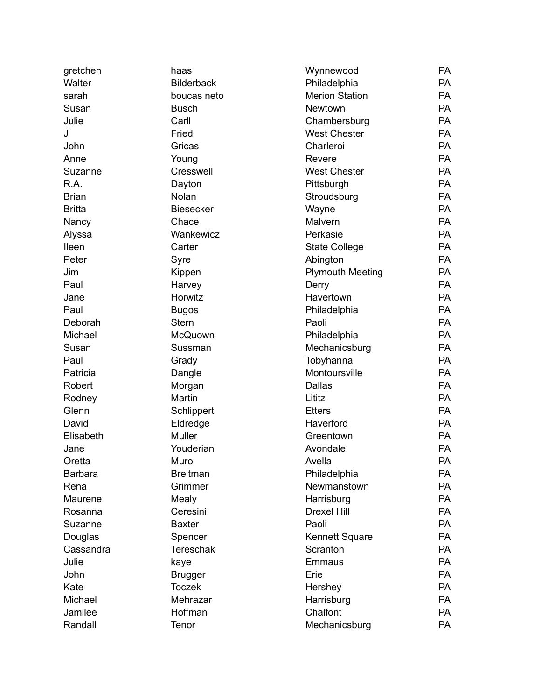| gretchen       | haas              | Wynnewood               | <b>PA</b> |
|----------------|-------------------|-------------------------|-----------|
| Walter         | <b>Bilderback</b> | Philadelphia            | <b>PA</b> |
| sarah          | boucas neto       | <b>Merion Station</b>   | <b>PA</b> |
| Susan          | <b>Busch</b>      | Newtown                 | <b>PA</b> |
| Julie          | Carll             | Chambersburg            | <b>PA</b> |
| J              | Fried             | <b>West Chester</b>     | <b>PA</b> |
| John           | Gricas            | Charleroi               | <b>PA</b> |
| Anne           | Young             | Revere                  | PA        |
| Suzanne        | Cresswell         | <b>West Chester</b>     | <b>PA</b> |
| R.A.           | Dayton            | Pittsburgh              | <b>PA</b> |
| <b>Brian</b>   | Nolan             | Stroudsburg             | <b>PA</b> |
| <b>Britta</b>  | <b>Biesecker</b>  | Wayne                   | <b>PA</b> |
| Nancy          | Chace             | Malvern                 | <b>PA</b> |
| Alyssa         | Wankewicz         | Perkasie                | <b>PA</b> |
| <b>Ileen</b>   | Carter            | <b>State College</b>    | <b>PA</b> |
| Peter          | Syre              | Abington                | <b>PA</b> |
| Jim            | Kippen            | <b>Plymouth Meeting</b> | <b>PA</b> |
| Paul           | Harvey            | Derry                   | <b>PA</b> |
| Jane           | Horwitz           | Havertown               | <b>PA</b> |
| Paul           | <b>Bugos</b>      | Philadelphia            | <b>PA</b> |
| Deborah        | <b>Stern</b>      | Paoli                   | <b>PA</b> |
| Michael        | McQuown           | Philadelphia            | <b>PA</b> |
| Susan          | Sussman           | Mechanicsburg           | <b>PA</b> |
| Paul           | Grady             | Tobyhanna               | <b>PA</b> |
| Patricia       | Dangle            | Montoursville           | <b>PA</b> |
| Robert         | Morgan            | <b>Dallas</b>           | <b>PA</b> |
| Rodney         | Martin            | Lititz                  | <b>PA</b> |
| Glenn          | Schlippert        | <b>Etters</b>           | <b>PA</b> |
| David          | Eldredge          | Haverford               | PA        |
| Elisabeth      | <b>Muller</b>     | Greentown               | <b>PA</b> |
| Jane           | Youderian         | Avondale                | PA        |
| Oretta         | Muro              | Avella                  | PA        |
| <b>Barbara</b> | <b>Breitman</b>   | Philadelphia            | <b>PA</b> |
| Rena           | Grimmer           | Newmanstown             | PA        |
| Maurene        | Mealy             | Harrisburg              | <b>PA</b> |
| Rosanna        | Ceresini          | <b>Drexel Hill</b>      | <b>PA</b> |
| Suzanne        | <b>Baxter</b>     | Paoli                   | <b>PA</b> |
| Douglas        | Spencer           | <b>Kennett Square</b>   | <b>PA</b> |
| Cassandra      | <b>Tereschak</b>  | Scranton                | <b>PA</b> |
| Julie          | kaye              | <b>Emmaus</b>           | <b>PA</b> |
| John           | <b>Brugger</b>    | Erie                    | <b>PA</b> |
| Kate           | <b>Toczek</b>     | Hershey                 | <b>PA</b> |
| Michael        | Mehrazar          | Harrisburg              | <b>PA</b> |
| Jamilee        | Hoffman           | Chalfont                | <b>PA</b> |
| Randall        | Tenor             | Mechanicsburg           | <b>PA</b> |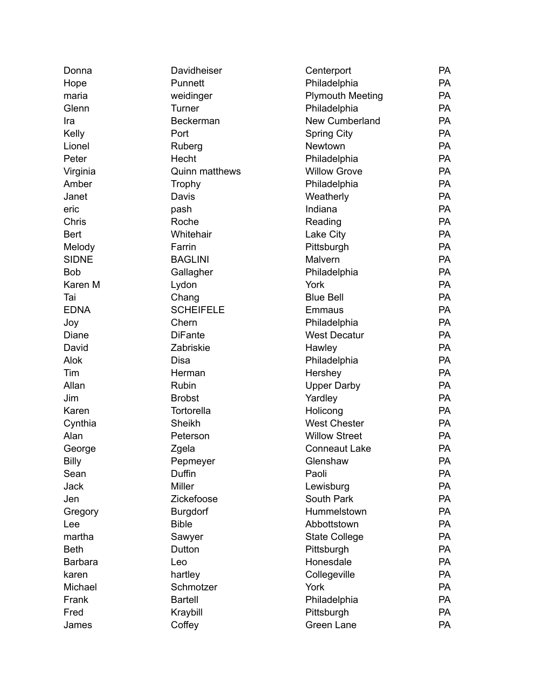| Donna          | Davidheiser      | Centerport              | <b>PA</b> |
|----------------|------------------|-------------------------|-----------|
| Hope           | Punnett          | Philadelphia            | <b>PA</b> |
| maria          | weidinger        | <b>Plymouth Meeting</b> | <b>PA</b> |
| Glenn          | Turner           | Philadelphia            | <b>PA</b> |
| Ira            | Beckerman        | New Cumberland          | PA        |
| Kelly          | Port             | <b>Spring City</b>      | <b>PA</b> |
| Lionel         | Ruberg           | Newtown                 | <b>PA</b> |
| Peter          | Hecht            | Philadelphia            | <b>PA</b> |
| Virginia       | Quinn matthews   | <b>Willow Grove</b>     | PA        |
| Amber          | Trophy           | Philadelphia            | PA        |
| Janet          | Davis            | Weatherly               | <b>PA</b> |
| eric           | pash             | Indiana                 | <b>PA</b> |
| Chris          | Roche            | Reading                 | PA        |
| <b>Bert</b>    | Whitehair        | Lake City               | <b>PA</b> |
| Melody         | Farrin           | Pittsburgh              | <b>PA</b> |
| <b>SIDNE</b>   | <b>BAGLINI</b>   | Malvern                 | <b>PA</b> |
| <b>Bob</b>     | Gallagher        | Philadelphia            | PA        |
| Karen M        | Lydon            | York                    | <b>PA</b> |
| Tai            | Chang            | <b>Blue Bell</b>        | <b>PA</b> |
| <b>EDNA</b>    | <b>SCHEIFELE</b> | <b>Emmaus</b>           | <b>PA</b> |
| Joy            | Chern            | Philadelphia            | PA        |
| Diane          | <b>DiFante</b>   | <b>West Decatur</b>     | <b>PA</b> |
| David          | Zabriskie        | Hawley                  | <b>PA</b> |
| Alok           | <b>Disa</b>      | Philadelphia            | <b>PA</b> |
| Tim            | Herman           | Hershey                 | PA        |
| Allan          | <b>Rubin</b>     | <b>Upper Darby</b>      | PA        |
| Jim            | <b>Brobst</b>    | Yardley                 | <b>PA</b> |
| Karen          | Tortorella       | Holicong                | <b>PA</b> |
| Cynthia        | Sheikh           | <b>West Chester</b>     | PA        |
| Alan           | Peterson         | <b>Willow Street</b>    | <b>PA</b> |
| George         | Zgela            | <b>Conneaut Lake</b>    | PA        |
| Billy          | Pepmeyer         | Glenshaw                | PA        |
| Sean           | Duffin           | Paoli                   | PA        |
| Jack           | <b>Miller</b>    | Lewisburg               | <b>PA</b> |
| Jen            | Zickefoose       | South Park              | <b>PA</b> |
| Gregory        | <b>Burgdorf</b>  | Hummelstown             | <b>PA</b> |
| Lee            | <b>Bible</b>     | Abbottstown             | <b>PA</b> |
| martha         | Sawyer           | <b>State College</b>    | <b>PA</b> |
| <b>Beth</b>    | Dutton           | Pittsburgh              | <b>PA</b> |
| <b>Barbara</b> | Leo              | Honesdale               | <b>PA</b> |
| karen          | hartley          | Collegeville            | <b>PA</b> |
| Michael        | Schmotzer        | York                    | <b>PA</b> |
| Frank          | <b>Bartell</b>   | Philadelphia            | <b>PA</b> |
| Fred           | Kraybill         | Pittsburgh              | <b>PA</b> |
| James          | Coffey           | Green Lane              | <b>PA</b> |
|                |                  |                         |           |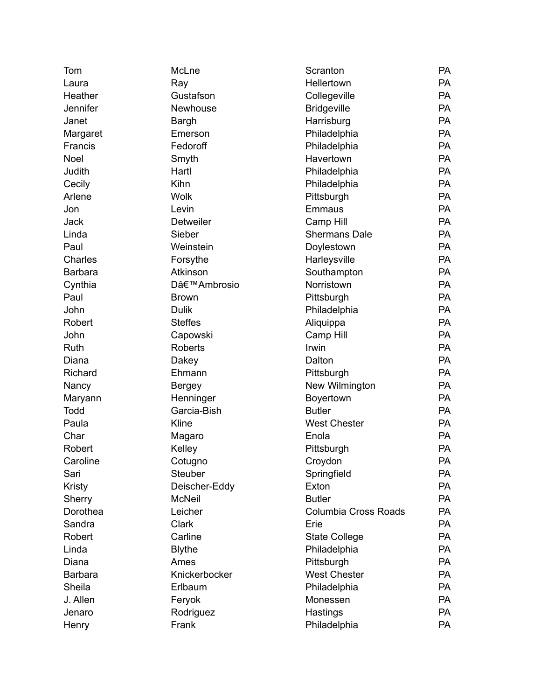| Tom            | McLne            | Scranton             | <b>PA</b> |
|----------------|------------------|----------------------|-----------|
| Laura          | Ray              | Hellertown           | <b>PA</b> |
| Heather        | Gustafson        | Collegeville         | <b>PA</b> |
| Jennifer       | Newhouse         | <b>Bridgeville</b>   | <b>PA</b> |
| Janet          | Bargh            | Harrisburg           | <b>PA</b> |
| Margaret       | Emerson          | Philadelphia         | <b>PA</b> |
| Francis        | Fedoroff         | Philadelphia         | <b>PA</b> |
| Noel           | Smyth            | Havertown            | <b>PA</b> |
| Judith         | Hartl            | Philadelphia         | <b>PA</b> |
| Cecily         | Kihn             | Philadelphia         | <b>PA</b> |
| Arlene         | <b>Wolk</b>      | Pittsburgh           | <b>PA</b> |
| Jon            | Levin            | <b>Emmaus</b>        | <b>PA</b> |
| <b>Jack</b>    | <b>Detweiler</b> | Camp Hill            | <b>PA</b> |
| Linda          | Sieber           | <b>Shermans Dale</b> | <b>PA</b> |
| Paul           | Weinstein        | Doylestown           | <b>PA</b> |
| Charles        | Forsythe         | Harleysville         | <b>PA</b> |
| <b>Barbara</b> | Atkinson         | Southampton          | <b>PA</b> |
| Cynthia        | D'Ambrosio       | Norristown           | <b>PA</b> |
| Paul           | <b>Brown</b>     | Pittsburgh           | <b>PA</b> |
| John           | <b>Dulik</b>     | Philadelphia         | <b>PA</b> |
| Robert         | <b>Steffes</b>   | Aliquippa            | <b>PA</b> |
| John           | Capowski         | Camp Hill            | <b>PA</b> |
| Ruth           | <b>Roberts</b>   | Irwin                | <b>PA</b> |
| Diana          | Dakey            | Dalton               | <b>PA</b> |
| Richard        | Ehmann           | Pittsburgh           | <b>PA</b> |
| Nancy          | <b>Bergey</b>    | New Wilmington       | <b>PA</b> |
| Maryann        | Henninger        | Boyertown            | <b>PA</b> |
| Todd           | Garcia-Bish      | <b>Butler</b>        | <b>PA</b> |
| Paula          | Kline            | <b>West Chester</b>  | <b>PA</b> |
| Char           | Magaro           | Enola                | <b>PA</b> |
| Robert         | Kelley           | Pittsburgh           | PA        |
| Caroline       | Cotugno          | Croydon              | PA        |
| Sari           | <b>Steuber</b>   | Springfield          | <b>PA</b> |
| Kristy         | Deischer-Eddy    | Exton                | <b>PA</b> |
| Sherry         | <b>McNeil</b>    | <b>Butler</b>        | <b>PA</b> |
| Dorothea       | Leicher          | Columbia Cross Roads | <b>PA</b> |
| Sandra         | Clark            | Erie                 | <b>PA</b> |
| Robert         | Carline          | <b>State College</b> | <b>PA</b> |
| Linda          | <b>Blythe</b>    | Philadelphia         | <b>PA</b> |
| <b>Diana</b>   | Ames             | Pittsburgh           | <b>PA</b> |
| <b>Barbara</b> | Knickerbocker    | <b>West Chester</b>  | <b>PA</b> |
| Sheila         | Erlbaum          | Philadelphia         | <b>PA</b> |
| J. Allen       | Feryok           | Monessen             | <b>PA</b> |
| Jenaro         | Rodriguez        | Hastings             | <b>PA</b> |
| Henry          | Frank            | Philadelphia         | <b>PA</b> |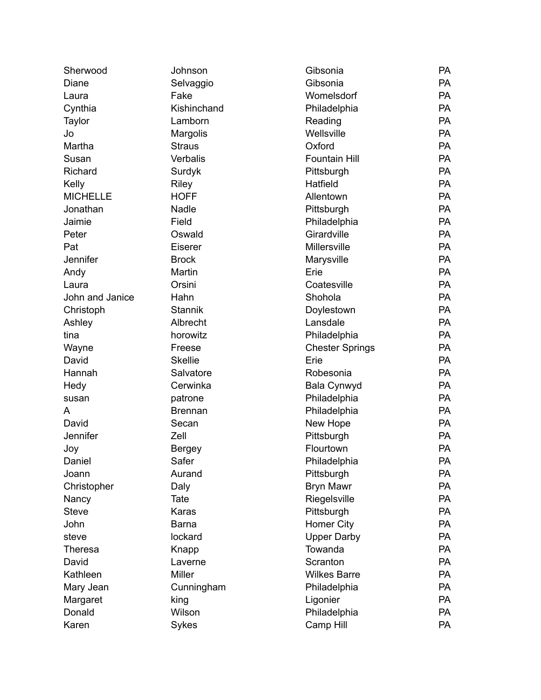| Sherwood        | Johnson        | Gibsonia               | <b>PA</b> |
|-----------------|----------------|------------------------|-----------|
| Diane           | Selvaggio      | Gibsonia               | <b>PA</b> |
| Laura           | Fake           | Womelsdorf             | <b>PA</b> |
| Cynthia         | Kishinchand    | Philadelphia           | PA        |
| Taylor          | Lamborn        | Reading                | <b>PA</b> |
| Jo              | Margolis       | Wellsville             | <b>PA</b> |
| Martha          | <b>Straus</b>  | Oxford                 | <b>PA</b> |
| Susan           | Verbalis       | <b>Fountain Hill</b>   | <b>PA</b> |
| Richard         | Surdyk         | Pittsburgh             | <b>PA</b> |
| Kelly           | Riley          | Hatfield               | PA        |
| <b>MICHELLE</b> | <b>HOFF</b>    | Allentown              | <b>PA</b> |
| Jonathan        | Nadle          | Pittsburgh             | <b>PA</b> |
| Jaimie          | Field          | Philadelphia           | <b>PA</b> |
| Peter           | Oswald         | Girardville            | PA        |
| Pat             | Eiserer        | <b>Millersville</b>    | <b>PA</b> |
| Jennifer        | <b>Brock</b>   | Marysville             | <b>PA</b> |
| Andy            | Martin         | Erie                   | <b>PA</b> |
| Laura           | Orsini         | Coatesville            | PA        |
| John and Janice | Hahn           | Shohola                | <b>PA</b> |
| Christoph       | <b>Stannik</b> | Doylestown             | PA        |
| Ashley          | Albrecht       | Lansdale               | <b>PA</b> |
| tina            | horowitz       | Philadelphia           | PA        |
| Wayne           | Freese         | <b>Chester Springs</b> | PA        |
| David           | <b>Skellie</b> | Erie                   | <b>PA</b> |
| Hannah          | Salvatore      | Robesonia              | <b>PA</b> |
| Hedy            | Cerwinka       | Bala Cynwyd            | <b>PA</b> |
| susan           | patrone        | Philadelphia           | PA        |
| A               | <b>Brennan</b> | Philadelphia           | <b>PA</b> |
| David           | Secan          | New Hope               | <b>PA</b> |
| Jennifer        | Zell           | Pittsburgh             | <b>PA</b> |
| Joy             | <b>Bergey</b>  | Flourtown              | PA        |
| Daniel          | Safer          | Philadelphia           | PA        |
| Joann           | Aurand         | Pittsburgh             | <b>PA</b> |
| Christopher     | Daly           | <b>Bryn Mawr</b>       | <b>PA</b> |
| Nancy           | Tate           | Riegelsville           | <b>PA</b> |
| <b>Steve</b>    | Karas          | Pittsburgh             | <b>PA</b> |
| John            | <b>Barna</b>   | Homer City             | <b>PA</b> |
| steve           | lockard        | <b>Upper Darby</b>     | <b>PA</b> |
| <b>Theresa</b>  | Knapp          | Towanda                | <b>PA</b> |
| David           | Laverne        | Scranton               | <b>PA</b> |
| Kathleen        | <b>Miller</b>  | <b>Wilkes Barre</b>    | <b>PA</b> |
| Mary Jean       | Cunningham     | Philadelphia           | <b>PA</b> |
| Margaret        | king           | Ligonier               | <b>PA</b> |
| Donald          | Wilson         | Philadelphia           | <b>PA</b> |
| Karen           | Sykes          | Camp Hill              | PA        |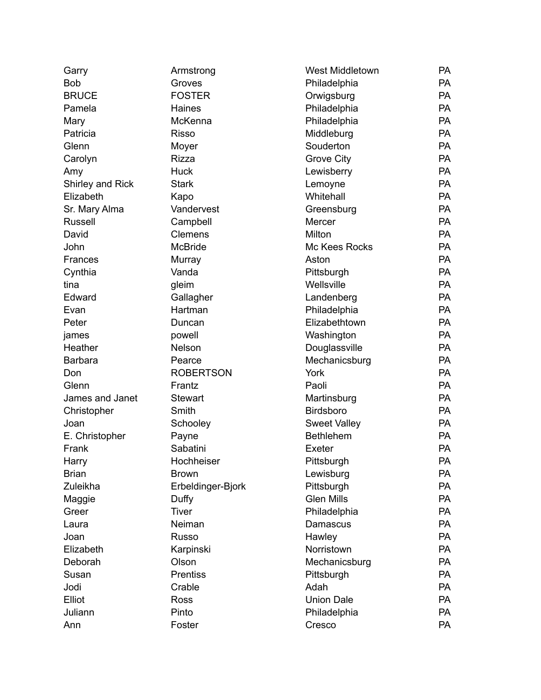| Garry            | Armstrong         | <b>West Middletown</b> | <b>PA</b> |
|------------------|-------------------|------------------------|-----------|
| <b>Bob</b>       | Groves            | Philadelphia           | <b>PA</b> |
| <b>BRUCE</b>     | <b>FOSTER</b>     | Orwigsburg             | <b>PA</b> |
| Pamela           | Haines            | Philadelphia           | <b>PA</b> |
| Mary             | McKenna           | Philadelphia           | <b>PA</b> |
| Patricia         | <b>Risso</b>      | Middleburg             | <b>PA</b> |
| Glenn            | Moyer             | Souderton              | <b>PA</b> |
| Carolyn          | <b>Rizza</b>      | <b>Grove City</b>      | <b>PA</b> |
| Amy              | <b>Huck</b>       | Lewisberry             | <b>PA</b> |
| Shirley and Rick | <b>Stark</b>      | Lemoyne                | <b>PA</b> |
| Elizabeth        | Kapo              | Whitehall              | <b>PA</b> |
| Sr. Mary Alma    | Vandervest        | Greensburg             | <b>PA</b> |
| <b>Russell</b>   | Campbell          | Mercer                 | <b>PA</b> |
| David            | <b>Clemens</b>    | Milton                 | <b>PA</b> |
| John             | <b>McBride</b>    | Mc Kees Rocks          | <b>PA</b> |
| Frances          | Murray            | Aston                  | <b>PA</b> |
| Cynthia          | Vanda             | Pittsburgh             | <b>PA</b> |
| tina             | gleim             | Wellsville             | <b>PA</b> |
| Edward           | Gallagher         | Landenberg             | <b>PA</b> |
| Evan             | Hartman           | Philadelphia           | <b>PA</b> |
| Peter            | Duncan            | Elizabethtown          | <b>PA</b> |
| james            | powell            | Washington             | <b>PA</b> |
| Heather          | Nelson            | Douglassville          | <b>PA</b> |
| <b>Barbara</b>   | Pearce            | Mechanicsburg          | <b>PA</b> |
| Don              | <b>ROBERTSON</b>  | York                   | <b>PA</b> |
| Glenn            | Frantz            | Paoli                  | <b>PA</b> |
| James and Janet  | <b>Stewart</b>    | Martinsburg            | <b>PA</b> |
| Christopher      | Smith             | <b>Birdsboro</b>       | <b>PA</b> |
| Joan             | Schooley          | <b>Sweet Valley</b>    | <b>PA</b> |
| E. Christopher   | Payne             | <b>Bethlehem</b>       | <b>PA</b> |
| Frank            | Sabatini          | Exeter                 | PA        |
| Harry            | Hochheiser        | Pittsburgh             | PA        |
| <b>Brian</b>     | <b>Brown</b>      | Lewisburg              | <b>PA</b> |
| Zuleikha         | Erbeldinger-Bjork | Pittsburgh             | PA        |
| Maggie           | Duffy             | <b>Glen Mills</b>      | <b>PA</b> |
| Greer            | <b>Tiver</b>      | Philadelphia           | <b>PA</b> |
| Laura            | Neiman            | <b>Damascus</b>        | PA        |
| Joan             | <b>Russo</b>      | Hawley                 | <b>PA</b> |
| Elizabeth        | Karpinski         | Norristown             | <b>PA</b> |
| Deborah          | Olson             | Mechanicsburg          | <b>PA</b> |
| Susan            | <b>Prentiss</b>   | Pittsburgh             | <b>PA</b> |
| Jodi             | Crable            | Adah                   | <b>PA</b> |
| Elliot           | Ross              | <b>Union Dale</b>      | <b>PA</b> |
| Juliann          | Pinto             | Philadelphia           | <b>PA</b> |
| Ann              | Foster            | Cresco                 | PA        |
|                  |                   |                        |           |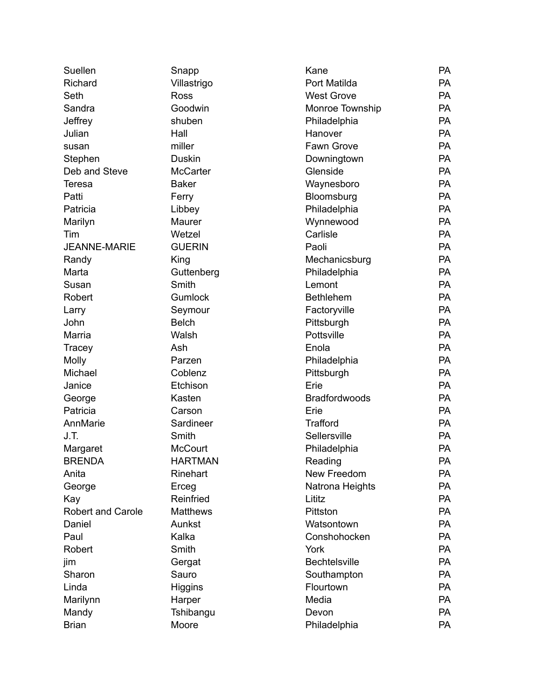| Suellen                  | Snapp           | Kane                 | <b>PA</b> |
|--------------------------|-----------------|----------------------|-----------|
| Richard                  | Villastrigo     | Port Matilda         | <b>PA</b> |
| Seth                     | <b>Ross</b>     | <b>West Grove</b>    | <b>PA</b> |
| Sandra                   | Goodwin         | Monroe Township      | <b>PA</b> |
| Jeffrey                  | shuben          | Philadelphia         | PA        |
| Julian                   | Hall            | Hanover              | <b>PA</b> |
| susan                    | miller          | Fawn Grove           | <b>PA</b> |
| Stephen                  | <b>Duskin</b>   | Downingtown          | <b>PA</b> |
| Deb and Steve            | <b>McCarter</b> | Glenside             | <b>PA</b> |
| <b>Teresa</b>            | <b>Baker</b>    | Waynesboro           | <b>PA</b> |
| Patti                    | Ferry           | Bloomsburg           | <b>PA</b> |
| Patricia                 | Libbey          | Philadelphia         | <b>PA</b> |
| Marilyn                  | Maurer          | Wynnewood            | PA        |
| Tim                      | Wetzel          | Carlisle             | <b>PA</b> |
| <b>JEANNE-MARIE</b>      | <b>GUERIN</b>   | Paoli                | <b>PA</b> |
| Randy                    | King            | Mechanicsburg        | <b>PA</b> |
| Marta                    | Guttenberg      | Philadelphia         | <b>PA</b> |
| Susan                    | Smith           | Lemont               | <b>PA</b> |
| Robert                   | <b>Gumlock</b>  | <b>Bethlehem</b>     | <b>PA</b> |
| Larry                    | Seymour         | Factoryville         | <b>PA</b> |
| John                     | <b>Belch</b>    | Pittsburgh           | PA        |
| Marria                   | Walsh           | Pottsville           | <b>PA</b> |
| Tracey                   | Ash             | Enola                | <b>PA</b> |
| <b>Molly</b>             | Parzen          | Philadelphia         | <b>PA</b> |
| Michael                  | Coblenz         | Pittsburgh           | PA        |
| Janice                   | Etchison        | Erie                 | <b>PA</b> |
| George                   | Kasten          | <b>Bradfordwoods</b> | <b>PA</b> |
| Patricia                 | Carson          | Erie                 | <b>PA</b> |
| AnnMarie                 | Sardineer       | <b>Trafford</b>      | PA        |
| J.T.                     | Smith           | Sellersville         | <b>PA</b> |
| Margaret                 | <b>McCourt</b>  | Philadelphia         | PA        |
| <b>BRENDA</b>            | <b>HARTMAN</b>  | Reading              | PA        |
| Anita                    | Rinehart        | New Freedom          | <b>PA</b> |
| George                   | Erceg           | Natrona Heights      | <b>PA</b> |
| Kay                      | Reinfried       | Lititz               | <b>PA</b> |
| <b>Robert and Carole</b> | <b>Matthews</b> | Pittston             | <b>PA</b> |
| Daniel                   | Aunkst          | Watsontown           | <b>PA</b> |
| Paul                     | Kalka           | Conshohocken         | <b>PA</b> |
| Robert                   | Smith           | York                 | <b>PA</b> |
| jim                      | Gergat          | <b>Bechtelsville</b> | <b>PA</b> |
| Sharon                   | Sauro           | Southampton          | <b>PA</b> |
| Linda                    | <b>Higgins</b>  | Flourtown            | <b>PA</b> |
| Marilynn                 | Harper          | Media                | <b>PA</b> |
| Mandy                    | Tshibangu       | Devon                | <b>PA</b> |
| <b>Brian</b>             | Moore           | Philadelphia         | <b>PA</b> |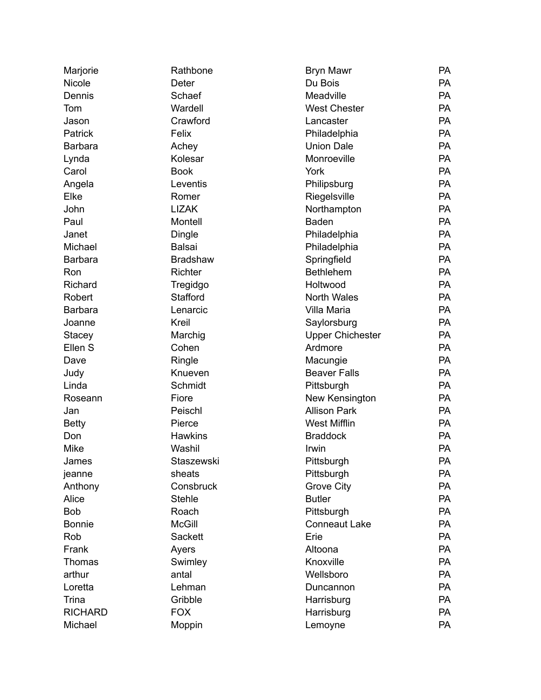| Marjorie       | Rathbone        | <b>Bryn Mawr</b>        | <b>PA</b> |
|----------------|-----------------|-------------------------|-----------|
| Nicole         | Deter           | Du Bois                 | <b>PA</b> |
| Dennis         | Schaef          | Meadville               | <b>PA</b> |
| Tom            | Wardell         | <b>West Chester</b>     | <b>PA</b> |
| Jason          | Crawford        | Lancaster               | PA        |
| Patrick        | Felix           | Philadelphia            | <b>PA</b> |
| <b>Barbara</b> | Achey           | <b>Union Dale</b>       | <b>PA</b> |
| Lynda          | Kolesar         | Monroeville             | PA        |
| Carol          | <b>Book</b>     | York                    | <b>PA</b> |
| Angela         | Leventis        | Philipsburg             | <b>PA</b> |
| Elke           | Romer           | Riegelsville            | <b>PA</b> |
| John           | <b>LIZAK</b>    | Northampton             | <b>PA</b> |
| Paul           | Montell         | <b>Baden</b>            | <b>PA</b> |
| Janet          | Dingle          | Philadelphia            | <b>PA</b> |
| Michael        | <b>Balsai</b>   | Philadelphia            | <b>PA</b> |
| <b>Barbara</b> | <b>Bradshaw</b> | Springfield             | PA        |
| Ron            | Richter         | <b>Bethlehem</b>        | <b>PA</b> |
| Richard        | Tregidgo        | Holtwood                | <b>PA</b> |
| Robert         | Stafford        | <b>North Wales</b>      | <b>PA</b> |
| <b>Barbara</b> | Lenarcic        | Villa Maria             | <b>PA</b> |
| Joanne         | Kreil           | Saylorsburg             | <b>PA</b> |
| <b>Stacey</b>  | Marchig         | <b>Upper Chichester</b> | <b>PA</b> |
| Ellen S        | Cohen           | Ardmore                 | <b>PA</b> |
| Dave           | Ringle          | Macungie                | PA        |
| Judy           | Knueven         | <b>Beaver Falls</b>     | <b>PA</b> |
| Linda          | Schmidt         | Pittsburgh              | <b>PA</b> |
| Roseann        | Fiore           | New Kensington          | <b>PA</b> |
| Jan            | Peischl         | <b>Allison Park</b>     | <b>PA</b> |
| <b>Betty</b>   | Pierce          | <b>West Mifflin</b>     | <b>PA</b> |
| Don            | Hawkins         | <b>Braddock</b>         | <b>PA</b> |
| <b>Mike</b>    | Washil          | Irwin                   | PA        |
| James          | Staszewski      | Pittsburgh              | PA        |
| jeanne         | sheats          | Pittsburgh              | <b>PA</b> |
| Anthony        | Consbruck       | <b>Grove City</b>       | <b>PA</b> |
| Alice          | <b>Stehle</b>   | <b>Butler</b>           | <b>PA</b> |
| <b>Bob</b>     | Roach           | Pittsburgh              | <b>PA</b> |
| <b>Bonnie</b>  | <b>McGill</b>   | <b>Conneaut Lake</b>    | <b>PA</b> |
| Rob            | Sackett         | Erie                    | <b>PA</b> |
| Frank          | Ayers           | Altoona                 | <b>PA</b> |
| Thomas         | Swimley         | Knoxville               | <b>PA</b> |
| arthur         | antal           | Wellsboro               | <b>PA</b> |
| Loretta        | Lehman          | Duncannon               | <b>PA</b> |
| Trina          | Gribble         | Harrisburg              | <b>PA</b> |
| <b>RICHARD</b> | <b>FOX</b>      | Harrisburg              | <b>PA</b> |
| Michael        | Moppin          | Lemoyne                 | PA        |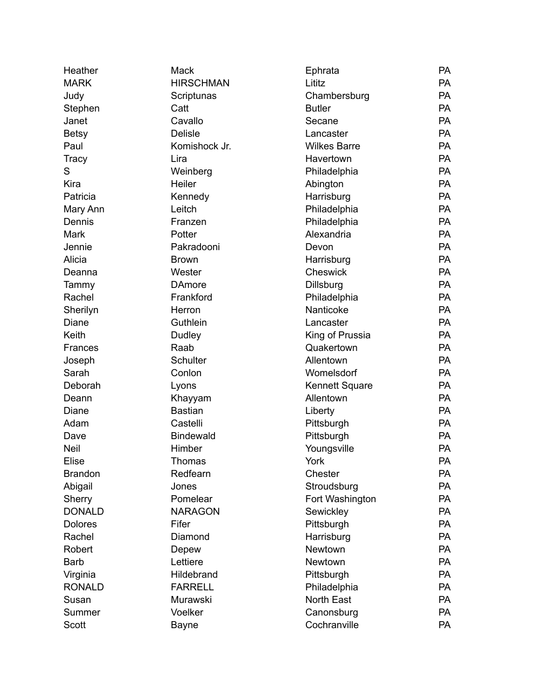| Heather        | <b>Mack</b>      | Ephrata               | <b>PA</b> |
|----------------|------------------|-----------------------|-----------|
| <b>MARK</b>    | <b>HIRSCHMAN</b> | Lititz                | <b>PA</b> |
| Judy           | Scriptunas       | Chambersburg          | <b>PA</b> |
| Stephen        | Catt             | <b>Butler</b>         | <b>PA</b> |
| Janet          | Cavallo          | Secane                | PA        |
| <b>Betsy</b>   | <b>Delisle</b>   | Lancaster             | <b>PA</b> |
| Paul           | Komishock Jr.    | <b>Wilkes Barre</b>   | <b>PA</b> |
| <b>Tracy</b>   | Lira             | Havertown             | <b>PA</b> |
| S              | Weinberg         | Philadelphia          | <b>PA</b> |
| Kira           | Heiler           | Abington              | PA        |
| Patricia       | Kennedy          | Harrisburg            | <b>PA</b> |
| Mary Ann       | Leitch           | Philadelphia          | <b>PA</b> |
| Dennis         | Franzen          | Philadelphia          | <b>PA</b> |
| Mark           | Potter           | Alexandria            | <b>PA</b> |
| Jennie         | Pakradooni       | Devon                 | <b>PA</b> |
| Alicia         | <b>Brown</b>     | Harrisburg            | <b>PA</b> |
| Deanna         | Wester           | Cheswick              | <b>PA</b> |
| Tammy          | <b>DAmore</b>    | <b>Dillsburg</b>      | <b>PA</b> |
| Rachel         | Frankford        | Philadelphia          | <b>PA</b> |
| Sherilyn       | Herron           | Nanticoke             | <b>PA</b> |
| <b>Diane</b>   | Guthlein         | Lancaster             | <b>PA</b> |
| Keith          | Dudley           | King of Prussia       | <b>PA</b> |
| Frances        | Raab             | Quakertown            | <b>PA</b> |
| Joseph         | <b>Schulter</b>  | Allentown             | <b>PA</b> |
| Sarah          | Conlon           | Womelsdorf            | <b>PA</b> |
| Deborah        | Lyons            | <b>Kennett Square</b> | PA        |
| Deann          | Khayyam          | Allentown             | <b>PA</b> |
| Diane          | <b>Bastian</b>   | Liberty               | <b>PA</b> |
| Adam           | Castelli         | Pittsburgh            | <b>PA</b> |
| Dave           | <b>Bindewald</b> | Pittsburgh            | <b>PA</b> |
| <b>Neil</b>    | Himber           | Youngsville           | PA        |
| Elise          | Thomas           | York                  | PA        |
| <b>Brandon</b> | Redfearn         | Chester               | <b>PA</b> |
| Abigail        | Jones            | Stroudsburg           | <b>PA</b> |
| Sherry         | Pomelear         | Fort Washington       | <b>PA</b> |
| <b>DONALD</b>  | <b>NARAGON</b>   | Sewickley             | <b>PA</b> |
| <b>Dolores</b> | Fifer            | Pittsburgh            | <b>PA</b> |
| Rachel         | Diamond          | Harrisburg            | <b>PA</b> |
| Robert         | Depew            | Newtown               | <b>PA</b> |
| <b>Barb</b>    | Lettiere         | Newtown               | <b>PA</b> |
| Virginia       | Hildebrand       | Pittsburgh            | <b>PA</b> |
| <b>RONALD</b>  | <b>FARRELL</b>   | Philadelphia          | <b>PA</b> |
| Susan          | Murawski         | North East            | <b>PA</b> |
| Summer         | Voelker          | Canonsburg            | <b>PA</b> |
| Scott          | <b>Bayne</b>     | Cochranville          | PA        |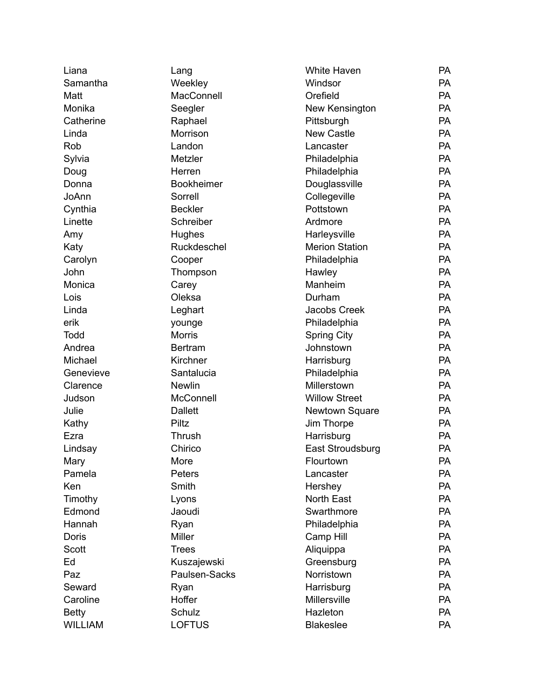| Liana          | Lang              | <b>White Haven</b>    | <b>PA</b> |
|----------------|-------------------|-----------------------|-----------|
| Samantha       | Weekley           | Windsor               | <b>PA</b> |
| Matt           | <b>MacConnell</b> | Orefield              | <b>PA</b> |
| Monika         | Seegler           | New Kensington        | <b>PA</b> |
| Catherine      | Raphael           | Pittsburgh            | <b>PA</b> |
| Linda          | Morrison          | <b>New Castle</b>     | <b>PA</b> |
| Rob            | Landon            | Lancaster             | <b>PA</b> |
| Sylvia         | Metzler           | Philadelphia          | <b>PA</b> |
| Doug           | Herren            | Philadelphia          | PA        |
| Donna          | Bookheimer        | Douglassville         | <b>PA</b> |
| JoAnn          | Sorrell           | Collegeville          | <b>PA</b> |
| Cynthia        | <b>Beckler</b>    | Pottstown             | <b>PA</b> |
| Linette        | Schreiber         | Ardmore               | <b>PA</b> |
| Amy            | Hughes            | Harleysville          | <b>PA</b> |
| Katy           | Ruckdeschel       | <b>Merion Station</b> | <b>PA</b> |
| Carolyn        | Cooper            | Philadelphia          | <b>PA</b> |
| John           | Thompson          | Hawley                | <b>PA</b> |
| Monica         | Carey             | Manheim               | <b>PA</b> |
| Lois           | Oleksa            | Durham                | <b>PA</b> |
| Linda          | Leghart           | Jacobs Creek          | <b>PA</b> |
| erik           | younge            | Philadelphia          | <b>PA</b> |
| Todd           | <b>Morris</b>     | <b>Spring City</b>    | <b>PA</b> |
| Andrea         | <b>Bertram</b>    | Johnstown             | <b>PA</b> |
| Michael        | Kirchner          | Harrisburg            | <b>PA</b> |
| Genevieve      | Santalucia        | Philadelphia          | <b>PA</b> |
| Clarence       | <b>Newlin</b>     | Millerstown           | <b>PA</b> |
| Judson         | McConnell         | <b>Willow Street</b>  | <b>PA</b> |
| Julie          | <b>Dallett</b>    | Newtown Square        | <b>PA</b> |
| Kathy          | Piltz             | Jim Thorpe            | <b>PA</b> |
| Ezra           | Thrush            | Harrisburg            | <b>PA</b> |
| Lindsay        | Chirico           | East Stroudsburg      | PA        |
| Mary           | More              | Flourtown             | PA        |
| Pamela         | Peters            | Lancaster             | <b>PA</b> |
| Ken            | Smith             | Hershey               | PA        |
| Timothy        | Lyons             | North East            | <b>PA</b> |
| Edmond         | Jaoudi            | Swarthmore            | <b>PA</b> |
| Hannah         | Ryan              | Philadelphia          | <b>PA</b> |
| Doris          | Miller            | Camp Hill             | <b>PA</b> |
| Scott          | <b>Trees</b>      | Aliquippa             | <b>PA</b> |
| Ed             | Kuszajewski       | Greensburg            | <b>PA</b> |
| Paz            | Paulsen-Sacks     | Norristown            | <b>PA</b> |
| Seward         | Ryan              | Harrisburg            | <b>PA</b> |
| Caroline       | Hoffer            | Millersville          | <b>PA</b> |
| <b>Betty</b>   | Schulz            | Hazleton              | <b>PA</b> |
| <b>WILLIAM</b> | <b>LOFTUS</b>     | <b>Blakeslee</b>      | PA        |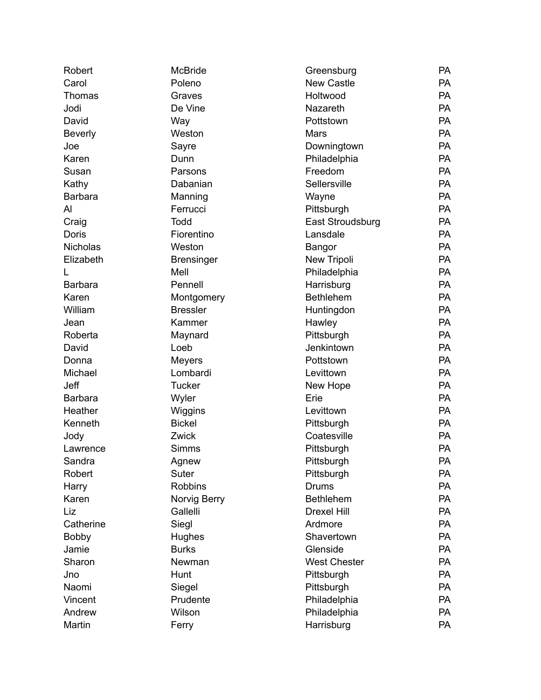| Robert          | <b>McBride</b>    | Greensburg          | <b>PA</b> |
|-----------------|-------------------|---------------------|-----------|
| Carol           | Poleno            | <b>New Castle</b>   | <b>PA</b> |
| Thomas          | Graves            | Holtwood            | <b>PA</b> |
| Jodi            | De Vine           | Nazareth            | <b>PA</b> |
| David           | Way               | Pottstown           | <b>PA</b> |
| <b>Beverly</b>  | Weston            | <b>Mars</b>         | <b>PA</b> |
| Joe             | Sayre             | Downingtown         | <b>PA</b> |
| Karen           | Dunn              | Philadelphia        | <b>PA</b> |
| Susan           | Parsons           | Freedom             | <b>PA</b> |
| Kathy           | Dabanian          | Sellersville        | <b>PA</b> |
| <b>Barbara</b>  | Manning           | Wayne               | <b>PA</b> |
| AI              | Ferrucci          | Pittsburgh          | <b>PA</b> |
| Craig           | Todd              | East Stroudsburg    | <b>PA</b> |
| Doris           | Fiorentino        | Lansdale            | <b>PA</b> |
| <b>Nicholas</b> | Weston            | <b>Bangor</b>       | <b>PA</b> |
| Elizabeth       | <b>Brensinger</b> | New Tripoli         | <b>PA</b> |
|                 | Mell              | Philadelphia        | <b>PA</b> |
| <b>Barbara</b>  | Pennell           | Harrisburg          | <b>PA</b> |
| Karen           | Montgomery        | <b>Bethlehem</b>    | <b>PA</b> |
| William         | <b>Bressler</b>   | Huntingdon          | <b>PA</b> |
| Jean            | Kammer            | Hawley              | <b>PA</b> |
| Roberta         | Maynard           | Pittsburgh          | <b>PA</b> |
| David           | Loeb              | Jenkintown          | <b>PA</b> |
| Donna           | <b>Meyers</b>     | Pottstown           | <b>PA</b> |
| Michael         | Lombardi          | Levittown           | <b>PA</b> |
| Jeff            | <b>Tucker</b>     | New Hope            | <b>PA</b> |
| <b>Barbara</b>  | Wyler             | Erie                | <b>PA</b> |
| Heather         | Wiggins           | Levittown           | <b>PA</b> |
| Kenneth         | <b>Bickel</b>     | Pittsburgh          | <b>PA</b> |
| Jody            | Zwick             | Coatesville         | <b>PA</b> |
| Lawrence        | <b>Simms</b>      | Pittsburgh          | PA        |
| Sandra          | Agnew             | Pittsburgh          | PA        |
| Robert          | Suter             | Pittsburgh          | <b>PA</b> |
| Harry           | <b>Robbins</b>    | <b>Drums</b>        | <b>PA</b> |
| Karen           | Norvig Berry      | <b>Bethlehem</b>    | <b>PA</b> |
| Liz             | Gallelli          | <b>Drexel Hill</b>  | <b>PA</b> |
| Catherine       | Siegl             | Ardmore             | <b>PA</b> |
| <b>Bobby</b>    | Hughes            | Shavertown          | <b>PA</b> |
| Jamie           | <b>Burks</b>      | Glenside            | <b>PA</b> |
| Sharon          | Newman            | <b>West Chester</b> | <b>PA</b> |
| Jno             | <b>Hunt</b>       | Pittsburgh          | <b>PA</b> |
| Naomi           | Siegel            | Pittsburgh          | <b>PA</b> |
| Vincent         | Prudente          | Philadelphia        | <b>PA</b> |
| Andrew          | Wilson            | Philadelphia        | <b>PA</b> |
| Martin          | Ferry             | Harrisburg          | <b>PA</b> |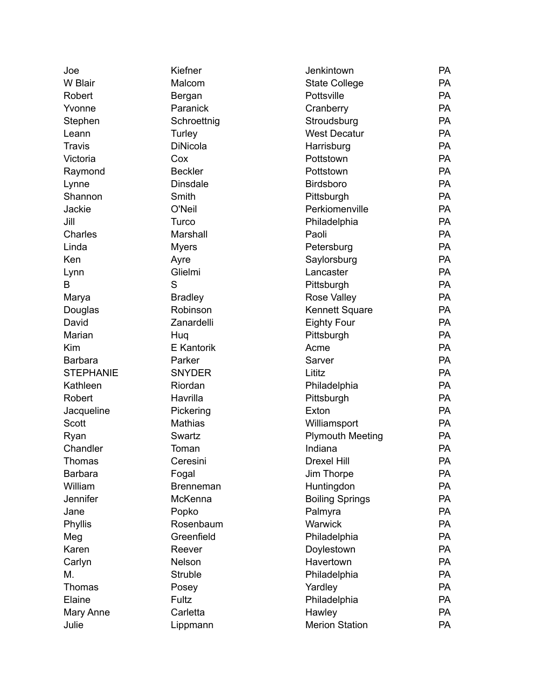| Joe              | Kiefner           | Jenkintown              | <b>PA</b> |
|------------------|-------------------|-------------------------|-----------|
| W Blair          | Malcom            | <b>State College</b>    | <b>PA</b> |
| Robert           | Bergan            | Pottsville              | <b>PA</b> |
| Yvonne           | Paranick          | Cranberry               | <b>PA</b> |
| Stephen          | Schroettnig       | Stroudsburg             | <b>PA</b> |
| Leann            | Turley            | <b>West Decatur</b>     | <b>PA</b> |
| <b>Travis</b>    | <b>DiNicola</b>   | Harrisburg              | <b>PA</b> |
| Victoria         | Cox               | Pottstown               | <b>PA</b> |
| Raymond          | <b>Beckler</b>    | Pottstown               | <b>PA</b> |
| Lynne            | <b>Dinsdale</b>   | <b>Birdsboro</b>        | <b>PA</b> |
| Shannon          | Smith             | Pittsburgh              | <b>PA</b> |
| Jackie           | O'Neil            | Perkiomenville          | <b>PA</b> |
| Jill             | Turco             | Philadelphia            | <b>PA</b> |
| Charles          | Marshall          | Paoli                   | <b>PA</b> |
| Linda            | <b>Myers</b>      | Petersburg              | <b>PA</b> |
| Ken              | Ayre              | Saylorsburg             | <b>PA</b> |
| Lynn             | Glielmi           | Lancaster               | <b>PA</b> |
| B                | S                 | Pittsburgh              | <b>PA</b> |
| Marya            | <b>Bradley</b>    | <b>Rose Valley</b>      | <b>PA</b> |
| Douglas          | Robinson          | Kennett Square          | <b>PA</b> |
| David            | Zanardelli        | <b>Eighty Four</b>      | <b>PA</b> |
| Marian           | Hug               | Pittsburgh              | <b>PA</b> |
| Kim              | <b>E</b> Kantorik | Acme                    | <b>PA</b> |
| <b>Barbara</b>   | Parker            | Sarver                  | <b>PA</b> |
| <b>STEPHANIE</b> | <b>SNYDER</b>     | Lititz                  | <b>PA</b> |
| Kathleen         | Riordan           | Philadelphia            | <b>PA</b> |
| Robert           | Havrilla          | Pittsburgh              | <b>PA</b> |
| Jacqueline       | Pickering         | Exton                   | <b>PA</b> |
| Scott            | Mathias           | Williamsport            | <b>PA</b> |
| Ryan             | Swartz            | <b>Plymouth Meeting</b> | <b>PA</b> |
| Chandler         | Toman             | Indiana                 | PA        |
| Thomas           | Ceresini          | Drexel Hill             | PA        |
| <b>Barbara</b>   | Fogal             | Jim Thorpe              | <b>PA</b> |
| William          | Brenneman         | Huntingdon              | <b>PA</b> |
| Jennifer         | McKenna           | <b>Boiling Springs</b>  | <b>PA</b> |
| Jane             | Popko             | Palmyra                 | <b>PA</b> |
| Phyllis          | Rosenbaum         | <b>Warwick</b>          | <b>PA</b> |
| Meg              | Greenfield        | Philadelphia            | <b>PA</b> |
| Karen            | Reever            | Doylestown              | <b>PA</b> |
| Carlyn           | Nelson            | Havertown               | PA        |
| М.               | Struble           | Philadelphia            | <b>PA</b> |
| Thomas           | Posey             | Yardley                 | <b>PA</b> |
| Elaine           | Fultz             | Philadelphia            | <b>PA</b> |
| Mary Anne        | Carletta          | Hawley                  | <b>PA</b> |
| Julie            | Lippmann          | <b>Merion Station</b>   | PA        |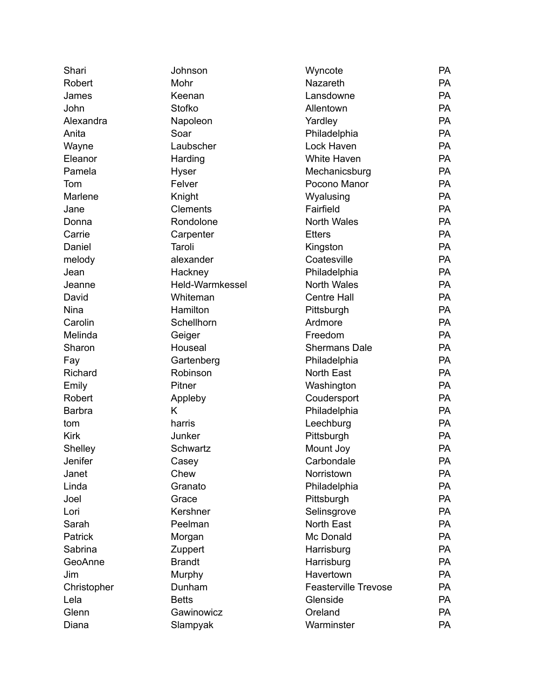| Shari         | Johnson                | Wyncote                     | <b>PA</b> |
|---------------|------------------------|-----------------------------|-----------|
| Robert        | Mohr                   | Nazareth                    | <b>PA</b> |
| James         | Keenan                 | Lansdowne                   | <b>PA</b> |
| John          | Stofko                 | Allentown                   | <b>PA</b> |
| Alexandra     | Napoleon               | Yardley                     | PA        |
| Anita         | Soar                   | Philadelphia                | <b>PA</b> |
| Wayne         | Laubscher              | Lock Haven                  | <b>PA</b> |
| Eleanor       | Harding                | White Haven                 | <b>PA</b> |
| Pamela        | <b>Hyser</b>           | Mechanicsburg               | <b>PA</b> |
| Tom           | Felver                 | Pocono Manor                | PA        |
| Marlene       | Knight                 | Wyalusing                   | <b>PA</b> |
| Jane          | <b>Clements</b>        | Fairfield                   | <b>PA</b> |
| Donna         | Rondolone              | <b>North Wales</b>          | PA        |
| Carrie        | Carpenter              | <b>Etters</b>               | <b>PA</b> |
| Daniel        | Taroli                 | Kingston                    | <b>PA</b> |
| melody        | alexander              | Coatesville                 | PA        |
| Jean          | Hackney                | Philadelphia                | PA        |
| Jeanne        | <b>Held-Warmkessel</b> | <b>North Wales</b>          | <b>PA</b> |
| David         | Whiteman               | <b>Centre Hall</b>          | PA        |
| Nina          | Hamilton               | Pittsburgh                  | <b>PA</b> |
| Carolin       | Schellhorn             | Ardmore                     | PA        |
| Melinda       | Geiger                 | Freedom                     | <b>PA</b> |
| Sharon        | Houseal                | <b>Shermans Dale</b>        | <b>PA</b> |
| Fay           | Gartenberg             | Philadelphia                | <b>PA</b> |
| Richard       | Robinson               | <b>North East</b>           | PA        |
| Emily         | Pitner                 | Washington                  | PA        |
| Robert        | Appleby                | Coudersport                 | PA        |
| <b>Barbra</b> | K                      | Philadelphia                | PA        |
| tom           | harris                 | Leechburg                   | PA        |
| <b>Kirk</b>   | Junker                 | Pittsburgh                  | PA        |
| Shelley       | Schwartz               | Mount Joy                   | PA        |
| Jenifer       | Casey                  | Carbondale                  | PA        |
| Janet         | Chew                   | Norristown                  | <b>PA</b> |
| Linda         | Granato                | Philadelphia                | <b>PA</b> |
| Joel          | Grace                  | Pittsburgh                  | <b>PA</b> |
| Lori          | Kershner               | Selinsgrove                 | <b>PA</b> |
| Sarah         | Peelman                | North East                  | <b>PA</b> |
| Patrick       | Morgan                 | Mc Donald                   | <b>PA</b> |
| Sabrina       | Zuppert                | Harrisburg                  | <b>PA</b> |
| GeoAnne       | <b>Brandt</b>          | Harrisburg                  | <b>PA</b> |
| Jim           | Murphy                 | Havertown                   | <b>PA</b> |
| Christopher   | Dunham                 | <b>Feasterville Trevose</b> | <b>PA</b> |
| Lela          | <b>Betts</b>           | Glenside                    | <b>PA</b> |
| Glenn         | Gawinowicz             | Oreland                     | <b>PA</b> |
| Diana         | Slampyak               | Warminster                  | PA        |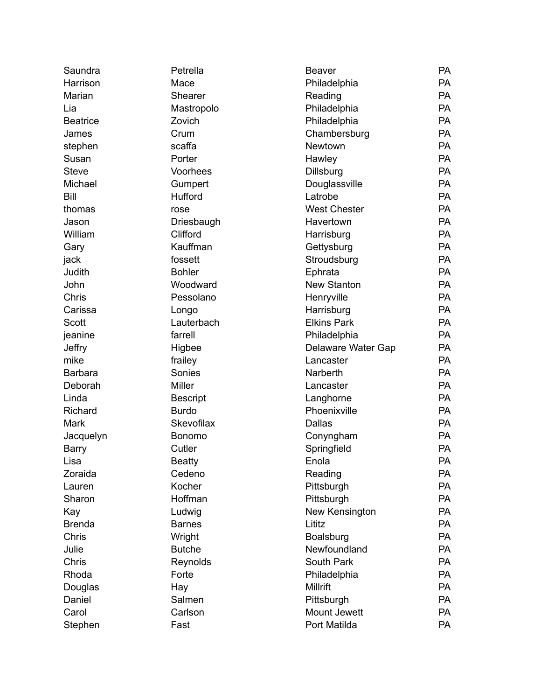| Saundra         | Petrella        | <b>Beaver</b>       | <b>PA</b> |
|-----------------|-----------------|---------------------|-----------|
| Harrison        | Mace            | Philadelphia        | <b>PA</b> |
| Marian          | Shearer         | Reading             | <b>PA</b> |
| Lia             | Mastropolo      | Philadelphia        | <b>PA</b> |
| <b>Beatrice</b> | Zovich          | Philadelphia        | <b>PA</b> |
| James           | Crum            | Chambersburg        | <b>PA</b> |
| stephen         | scaffa          | Newtown             | <b>PA</b> |
| Susan           | Porter          | Hawley              | <b>PA</b> |
| <b>Steve</b>    | Voorhees        | Dillsburg           | <b>PA</b> |
| Michael         | Gumpert         | Douglassville       | PA        |
| Bill            | Hufford         | Latrobe             | <b>PA</b> |
| thomas          | rose            | <b>West Chester</b> | <b>PA</b> |
| Jason           | Driesbaugh      | Havertown           | PA        |
| William         | Clifford        | Harrisburg          | <b>PA</b> |
| Gary            | Kauffman        | Gettysburg          | <b>PA</b> |
| jack            | fossett         | Stroudsburg         | <b>PA</b> |
| Judith          | <b>Bohler</b>   | Ephrata             | <b>PA</b> |
| John            | Woodward        | New Stanton         | <b>PA</b> |
| Chris           | Pessolano       | Henryville          | <b>PA</b> |
| Carissa         | Longo           | Harrisburg          | <b>PA</b> |
| <b>Scott</b>    | Lauterbach      | <b>Elkins Park</b>  | <b>PA</b> |
| jeanine         | farrell         | Philadelphia        | <b>PA</b> |
| <b>Jeffry</b>   | Higbee          | Delaware Water Gap  | <b>PA</b> |
| mike            | frailey         | Lancaster           | <b>PA</b> |
| <b>Barbara</b>  | Sonies          | Narberth            | <b>PA</b> |
| Deborah         | Miller          | Lancaster           | PA        |
| Linda           | <b>Bescript</b> | Langhorne           | <b>PA</b> |
| Richard         | <b>Burdo</b>    | Phoenixville        | <b>PA</b> |
| Mark            | Skevofilax      | Dallas              | <b>PA</b> |
| Jacquelyn       | <b>Bonomo</b>   | Conyngham           | <b>PA</b> |
| <b>Barry</b>    | Cutler          | Springfield         | PA        |
| Lisa            | <b>Beatty</b>   | Enola               | PA        |
| Zoraida         | Cedeno          | Reading             | <b>PA</b> |
| Lauren          | Kocher          | Pittsburgh          | <b>PA</b> |
| Sharon          | Hoffman         | Pittsburgh          | <b>PA</b> |
| Kay             | Ludwig          | New Kensington      | <b>PA</b> |
| <b>Brenda</b>   | <b>Barnes</b>   | Lititz              | <b>PA</b> |
| Chris           | Wright          | <b>Boalsburg</b>    | <b>PA</b> |
| Julie           | <b>Butche</b>   | Newfoundland        | <b>PA</b> |
| Chris           | Reynolds        | South Park          | <b>PA</b> |
| Rhoda           | Forte           | Philadelphia        | <b>PA</b> |
| Douglas         | Hay             | Millrift            | <b>PA</b> |
| Daniel          | Salmen          | Pittsburgh          | <b>PA</b> |
| Carol           | Carlson         | Mount Jewett        | <b>PA</b> |
| Stephen         | Fast            | Port Matilda        | PA        |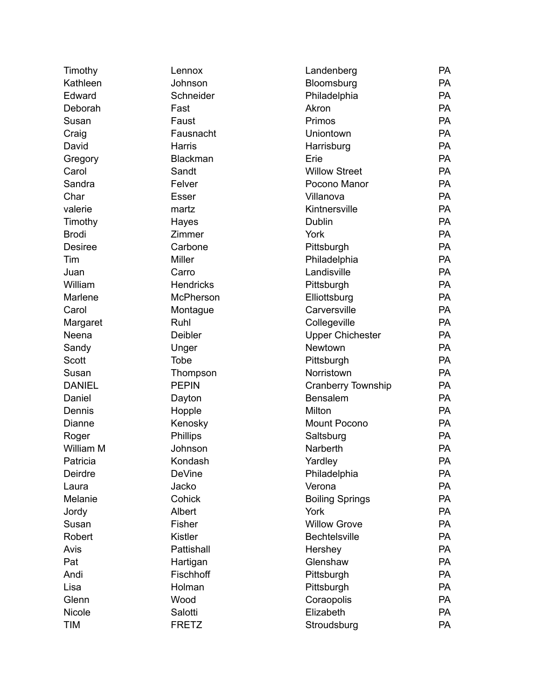| Timothy        | Lennox           | Landenberg                | <b>PA</b> |
|----------------|------------------|---------------------------|-----------|
| Kathleen       | Johnson          | Bloomsburg                | <b>PA</b> |
| Edward         | Schneider        | Philadelphia              | <b>PA</b> |
| Deborah        | Fast             | Akron                     | <b>PA</b> |
| Susan          | Faust            | Primos                    | PA        |
| Craig          | Fausnacht        | Uniontown                 | PA        |
| David          | Harris           | Harrisburg                | <b>PA</b> |
| Gregory        | Blackman         | Erie                      | PA        |
| Carol          | Sandt            | <b>Willow Street</b>      | <b>PA</b> |
| Sandra         | Felver           | Pocono Manor              | PA        |
| Char           | Esser            | Villanova                 | <b>PA</b> |
| valerie        | martz            | Kintnersville             | <b>PA</b> |
| Timothy        | Hayes            | Dublin                    | <b>PA</b> |
| <b>Brodi</b>   | Zimmer           | York                      | PA        |
| <b>Desiree</b> | Carbone          | Pittsburgh                | PA        |
| Tim            | <b>Miller</b>    | Philadelphia              | PA        |
| Juan           | Carro            | Landisville               | <b>PA</b> |
| William        | <b>Hendricks</b> | Pittsburgh                | PA        |
| Marlene        | McPherson        | Elliottsburg              | PA        |
| Carol          | Montague         | Carversville              | <b>PA</b> |
| Margaret       | Ruhl             | Collegeville              | PA        |
| Neena          | Deibler          | <b>Upper Chichester</b>   | <b>PA</b> |
| Sandy          | Unger            | Newtown                   | <b>PA</b> |
| Scott          | <b>Tobe</b>      | Pittsburgh                | <b>PA</b> |
| Susan          | Thompson         | Norristown                | <b>PA</b> |
| <b>DANIEL</b>  | <b>PEPIN</b>     | <b>Cranberry Township</b> | PA        |
| Daniel         | Dayton           | Bensalem                  | <b>PA</b> |
| Dennis         | Hopple           | Milton                    | <b>PA</b> |
| Dianne         | Kenosky          | <b>Mount Pocono</b>       | PA        |
| Roger          | Phillips         | Saltsburg                 | PA        |
| William M      | Johnson          | Narberth                  | PA        |
| Patricia       | Kondash          | Yardley                   | PA        |
| Deirdre        | <b>DeVine</b>    | Philadelphia              | PA        |
| Laura          | Jacko            | Verona                    | <b>PA</b> |
| Melanie        | Cohick           | <b>Boiling Springs</b>    | <b>PA</b> |
| Jordy          | Albert           | York                      | <b>PA</b> |
| Susan          | Fisher           | <b>Willow Grove</b>       | <b>PA</b> |
| Robert         | <b>Kistler</b>   | <b>Bechtelsville</b>      | <b>PA</b> |
| Avis           | Pattishall       | Hershey                   | <b>PA</b> |
| Pat            | Hartigan         | Glenshaw                  | <b>PA</b> |
| Andi           | Fischhoff        | Pittsburgh                | <b>PA</b> |
| Lisa           | Holman           | Pittsburgh                | <b>PA</b> |
| Glenn          | Wood             | Coraopolis                | <b>PA</b> |
| Nicole         | Salotti          | Elizabeth                 | <b>PA</b> |
| <b>TIM</b>     | <b>FRETZ</b>     | Stroudsburg               | PA        |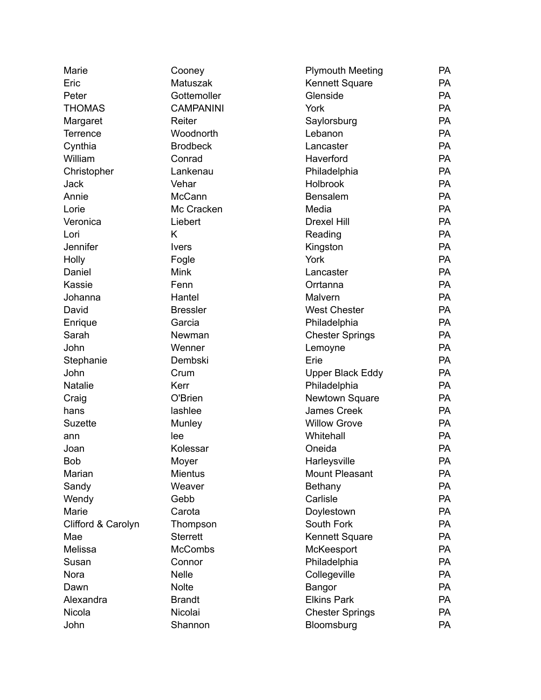| Marie              | Cooney           | <b>Plymouth Meeting</b> | <b>PA</b> |
|--------------------|------------------|-------------------------|-----------|
| Eric               | Matuszak         | <b>Kennett Square</b>   | <b>PA</b> |
| Peter              | Gottemoller      | Glenside                | <b>PA</b> |
| <b>THOMAS</b>      | <b>CAMPANINI</b> | York                    | <b>PA</b> |
| Margaret           | Reiter           | Saylorsburg             | PA        |
| <b>Terrence</b>    | Woodnorth        | Lebanon                 | <b>PA</b> |
| Cynthia            | <b>Brodbeck</b>  | Lancaster               | <b>PA</b> |
| William            | Conrad           | Haverford               | <b>PA</b> |
| Christopher        | Lankenau         | Philadelphia            | <b>PA</b> |
| <b>Jack</b>        | Vehar            | <b>Holbrook</b>         | <b>PA</b> |
| Annie              | McCann           | <b>Bensalem</b>         | <b>PA</b> |
| Lorie              | Mc Cracken       | Media                   | <b>PA</b> |
| Veronica           | Liebert          | <b>Drexel Hill</b>      | PA        |
| Lori               | K                | Reading                 | <b>PA</b> |
| Jennifer           | <b>Ivers</b>     | Kingston                | <b>PA</b> |
| Holly              | Fogle            | York                    | <b>PA</b> |
| Daniel             | <b>Mink</b>      | Lancaster               | <b>PA</b> |
| Kassie             | Fenn             | Orrtanna                | <b>PA</b> |
| Johanna            | Hantel           | Malvern                 | <b>PA</b> |
| David              | <b>Bressler</b>  | <b>West Chester</b>     | <b>PA</b> |
| Enrique            | Garcia           | Philadelphia            | <b>PA</b> |
| Sarah              | Newman           | <b>Chester Springs</b>  | <b>PA</b> |
| John               | Wenner           | Lemoyne                 | <b>PA</b> |
| Stephanie          | Dembski          | Erie                    | <b>PA</b> |
| John               | Crum             | <b>Upper Black Eddy</b> | <b>PA</b> |
| <b>Natalie</b>     | Kerr             | Philadelphia            | <b>PA</b> |
| Craig              | O'Brien          | Newtown Square          | <b>PA</b> |
| hans               | lashlee          | <b>James Creek</b>      | <b>PA</b> |
| <b>Suzette</b>     | Munley           | <b>Willow Grove</b>     | <b>PA</b> |
| ann                | lee              | Whitehall               | <b>PA</b> |
| Joan               | Kolessar         | Oneida                  | PA        |
| Bob                | Moyer            | Harleysville            | PA        |
| Marian             | Mientus          | <b>Mount Pleasant</b>   | <b>PA</b> |
| Sandy              | Weaver           | Bethany                 | <b>PA</b> |
| Wendy              | Gebb             | Carlisle                | <b>PA</b> |
| Marie              | Carota           | Doylestown              | <b>PA</b> |
| Clifford & Carolyn | Thompson         | South Fork              | <b>PA</b> |
| Mae                | <b>Sterrett</b>  | <b>Kennett Square</b>   | <b>PA</b> |
| Melissa            | <b>McCombs</b>   | McKeesport              | <b>PA</b> |
| Susan              | Connor           | Philadelphia            | <b>PA</b> |
| Nora               | <b>Nelle</b>     | Collegeville            | <b>PA</b> |
| Dawn               | <b>Nolte</b>     | Bangor                  | <b>PA</b> |
| Alexandra          | <b>Brandt</b>    | <b>Elkins Park</b>      | <b>PA</b> |
| Nicola             | Nicolai          | <b>Chester Springs</b>  | <b>PA</b> |
| John               | Shannon          | Bloomsburg              | PA        |